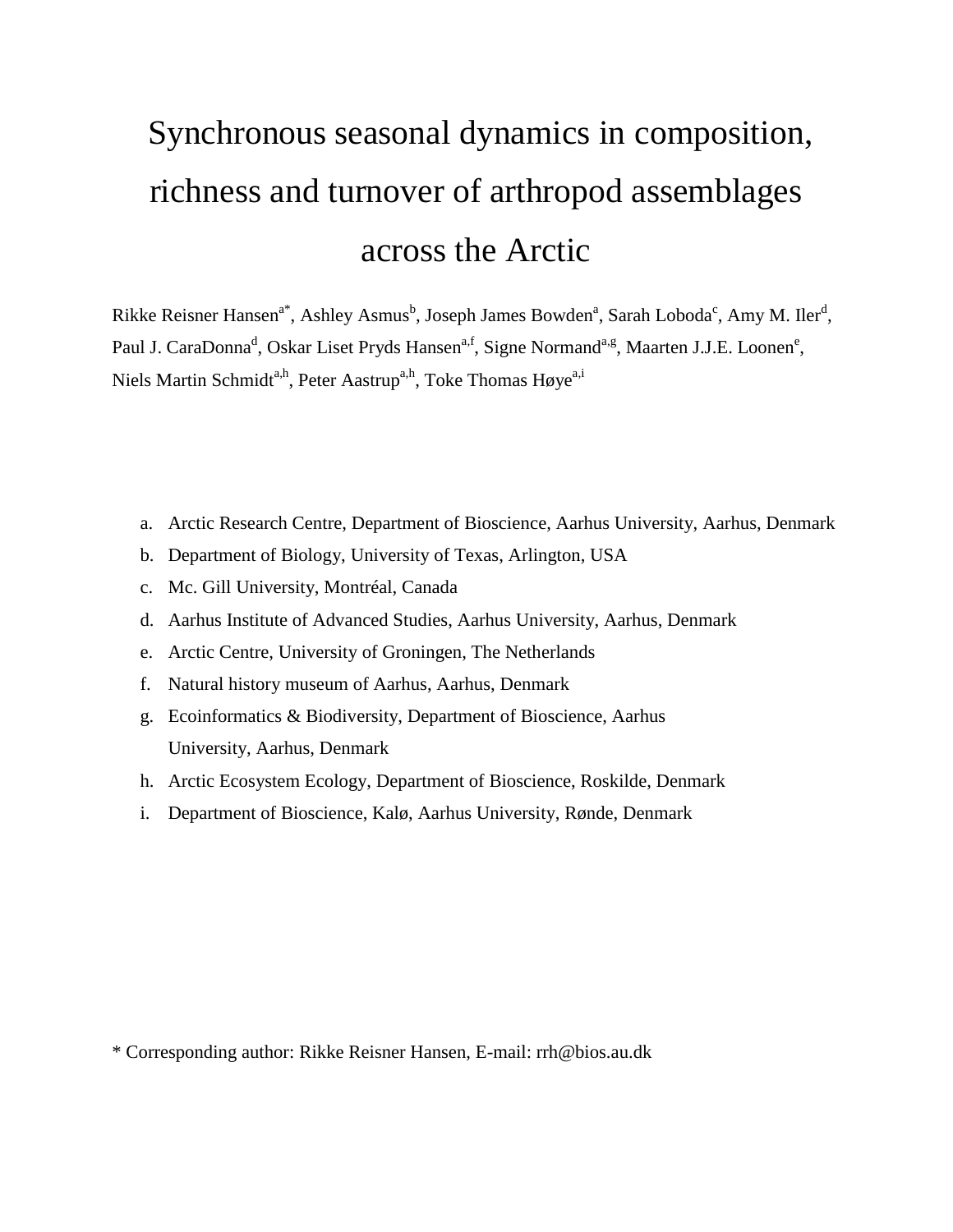# Synchronous seasonal dynamics in composition, richness and turnover of arthropod assemblages across the Arctic

Rikke Reisner Hansen<sup>a\*</sup>, Ashley Asmus<sup>b</sup>, Joseph James Bowden<sup>a</sup>, Sarah Loboda<sup>c</sup>, Amy M. Iler<sup>d</sup>, Paul J. CaraDonna<sup>d</sup>, Oskar Liset Pryds Hansen<sup>a,f</sup>, Signe Normand<sup>a,g</sup>, Maarten J.J.E. Loonen<sup>e</sup>, Niels Martin Schmidt<sup>a,h</sup>, Peter Aastrup<sup>a,h</sup>, Toke Thomas Høye<sup>a,i</sup>

- a. Arctic Research Centre, Department of Bioscience, Aarhus University, Aarhus, Denmark
- b. Department of Biology, University of Texas, Arlington, USA
- c. Mc. Gill University, Montréal, Canada
- d. Aarhus Institute of Advanced Studies, Aarhus University, Aarhus, Denmark
- e. Arctic Centre, University of Groningen, The Netherlands
- f. Natural history museum of Aarhus, Aarhus, Denmark
- g. Ecoinformatics & Biodiversity, Department of Bioscience, Aarhus University, Aarhus, Denmark
- h. Arctic Ecosystem Ecology, Department of Bioscience, Roskilde, Denmark
- i. Department of Bioscience, Kalø, Aarhus University, Rønde, Denmark

\* Corresponding author: Rikke Reisner Hansen, E-mail: rrh@bios.au.dk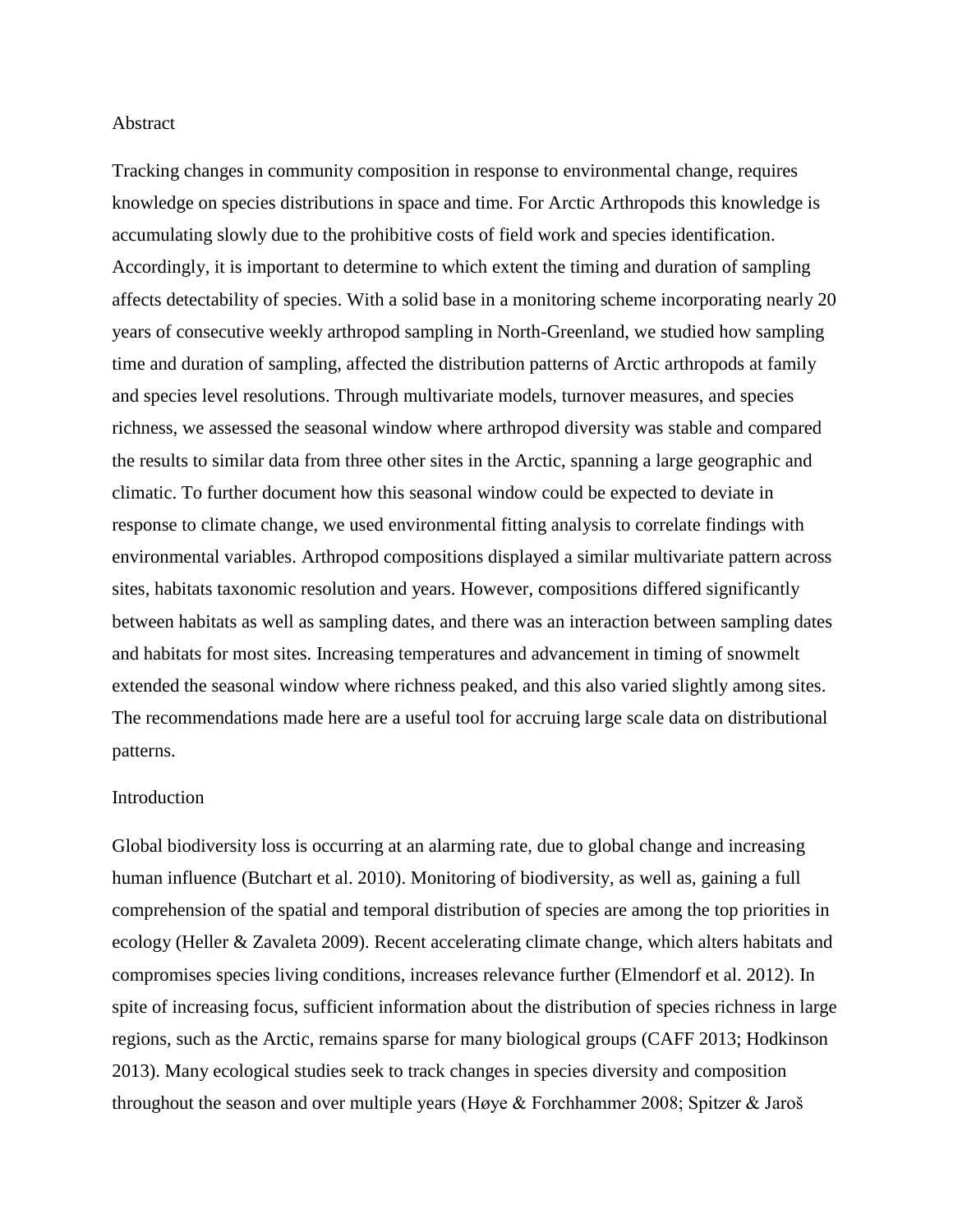#### Abstract

Tracking changes in community composition in response to environmental change, requires knowledge on species distributions in space and time. For Arctic Arthropods this knowledge is accumulating slowly due to the prohibitive costs of field work and species identification. Accordingly, it is important to determine to which extent the timing and duration of sampling affects detectability of species. With a solid base in a monitoring scheme incorporating nearly 20 years of consecutive weekly arthropod sampling in North-Greenland, we studied how sampling time and duration of sampling, affected the distribution patterns of Arctic arthropods at family and species level resolutions. Through multivariate models, turnover measures, and species richness, we assessed the seasonal window where arthropod diversity was stable and compared the results to similar data from three other sites in the Arctic, spanning a large geographic and climatic. To further document how this seasonal window could be expected to deviate in response to climate change, we used environmental fitting analysis to correlate findings with environmental variables. Arthropod compositions displayed a similar multivariate pattern across sites, habitats taxonomic resolution and years. However, compositions differed significantly between habitats as well as sampling dates, and there was an interaction between sampling dates and habitats for most sites. Increasing temperatures and advancement in timing of snowmelt extended the seasonal window where richness peaked, and this also varied slightly among sites. The recommendations made here are a useful tool for accruing large scale data on distributional patterns.

#### Introduction

Global biodiversity loss is occurring at an alarming rate, due to global change and increasing human influence (Butchart et al. 2010). Monitoring of biodiversity, as well as, gaining a full comprehension of the spatial and temporal distribution of species are among the top priorities in ecology (Heller & Zavaleta 2009). Recent accelerating climate change, which alters habitats and compromises species living conditions, increases relevance further (Elmendorf et al. 2012). In spite of increasing focus, sufficient information about the distribution of species richness in large regions, such as the Arctic, remains sparse for many biological groups (CAFF 2013; Hodkinson 2013). Many ecological studies seek to track changes in species diversity and composition throughout the season and over multiple years (Høye & Forchhammer 2008; Spitzer & Jaroš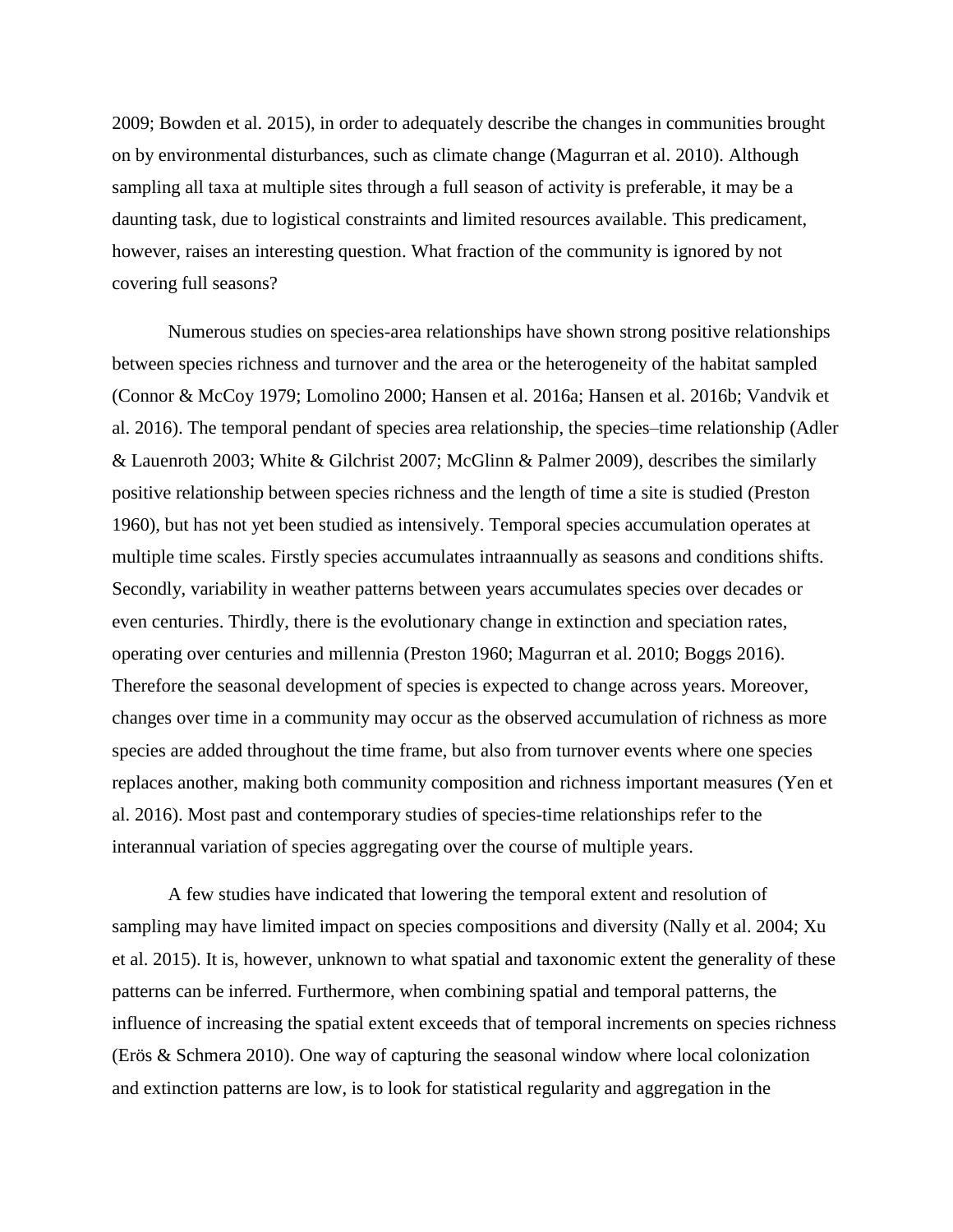2009; Bowden et al. 2015), in order to adequately describe the changes in communities brought on by environmental disturbances, such as climate change (Magurran et al. 2010). Although sampling all taxa at multiple sites through a full season of activity is preferable, it may be a daunting task, due to logistical constraints and limited resources available. This predicament, however, raises an interesting question. What fraction of the community is ignored by not covering full seasons?

Numerous studies on species-area relationships have shown strong positive relationships between species richness and turnover and the area or the heterogeneity of the habitat sampled (Connor & McCoy 1979; Lomolino 2000; Hansen et al. 2016a; Hansen et al. 2016b; Vandvik et al. 2016). The temporal pendant of species area relationship, the species–time relationship (Adler & Lauenroth 2003; White & Gilchrist 2007; McGlinn & Palmer 2009), describes the similarly positive relationship between species richness and the length of time a site is studied (Preston 1960), but has not yet been studied as intensively. Temporal species accumulation operates at multiple time scales. Firstly species accumulates intraannually as seasons and conditions shifts. Secondly, variability in weather patterns between years accumulates species over decades or even centuries. Thirdly, there is the evolutionary change in extinction and speciation rates, operating over centuries and millennia (Preston 1960; Magurran et al. 2010; Boggs 2016). Therefore the seasonal development of species is expected to change across years. Moreover, changes over time in a community may occur as the observed accumulation of richness as more species are added throughout the time frame, but also from turnover events where one species replaces another, making both community composition and richness important measures (Yen et al. 2016). Most past and contemporary studies of species-time relationships refer to the interannual variation of species aggregating over the course of multiple years.

A few studies have indicated that lowering the temporal extent and resolution of sampling may have limited impact on species compositions and diversity (Nally et al. 2004; Xu et al. 2015). It is, however, unknown to what spatial and taxonomic extent the generality of these patterns can be inferred. Furthermore, when combining spatial and temporal patterns, the influence of increasing the spatial extent exceeds that of temporal increments on species richness (Erös & Schmera 2010). One way of capturing the seasonal window where local colonization and extinction patterns are low, is to look for statistical regularity and aggregation in the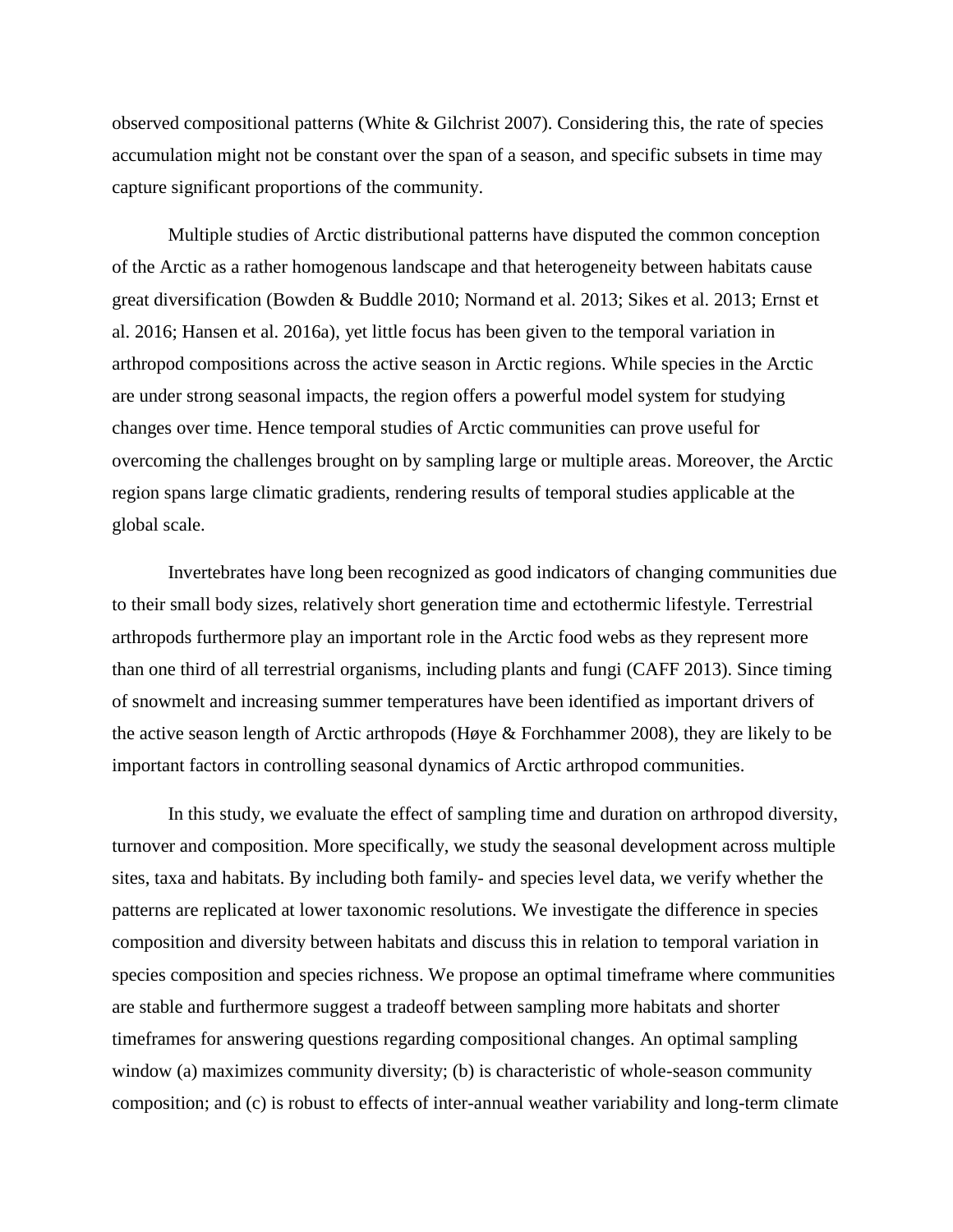observed compositional patterns (White & Gilchrist 2007). Considering this, the rate of species accumulation might not be constant over the span of a season, and specific subsets in time may capture significant proportions of the community.

Multiple studies of Arctic distributional patterns have disputed the common conception of the Arctic as a rather homogenous landscape and that heterogeneity between habitats cause great diversification (Bowden & Buddle 2010; Normand et al. 2013; Sikes et al. 2013; Ernst et al. 2016; Hansen et al. 2016a), yet little focus has been given to the temporal variation in arthropod compositions across the active season in Arctic regions. While species in the Arctic are under strong seasonal impacts, the region offers a powerful model system for studying changes over time. Hence temporal studies of Arctic communities can prove useful for overcoming the challenges brought on by sampling large or multiple areas. Moreover, the Arctic region spans large climatic gradients, rendering results of temporal studies applicable at the global scale.

Invertebrates have long been recognized as good indicators of changing communities due to their small body sizes, relatively short generation time and ectothermic lifestyle. Terrestrial arthropods furthermore play an important role in the Arctic food webs as they represent more than one third of all terrestrial organisms, including plants and fungi (CAFF 2013). Since timing of snowmelt and increasing summer temperatures have been identified as important drivers of the active season length of Arctic arthropods (Høye & Forchhammer 2008), they are likely to be important factors in controlling seasonal dynamics of Arctic arthropod communities.

In this study, we evaluate the effect of sampling time and duration on arthropod diversity, turnover and composition. More specifically, we study the seasonal development across multiple sites, taxa and habitats. By including both family- and species level data, we verify whether the patterns are replicated at lower taxonomic resolutions. We investigate the difference in species composition and diversity between habitats and discuss this in relation to temporal variation in species composition and species richness. We propose an optimal timeframe where communities are stable and furthermore suggest a tradeoff between sampling more habitats and shorter timeframes for answering questions regarding compositional changes. An optimal sampling window (a) maximizes community diversity; (b) is characteristic of whole-season community composition; and (c) is robust to effects of inter-annual weather variability and long-term climate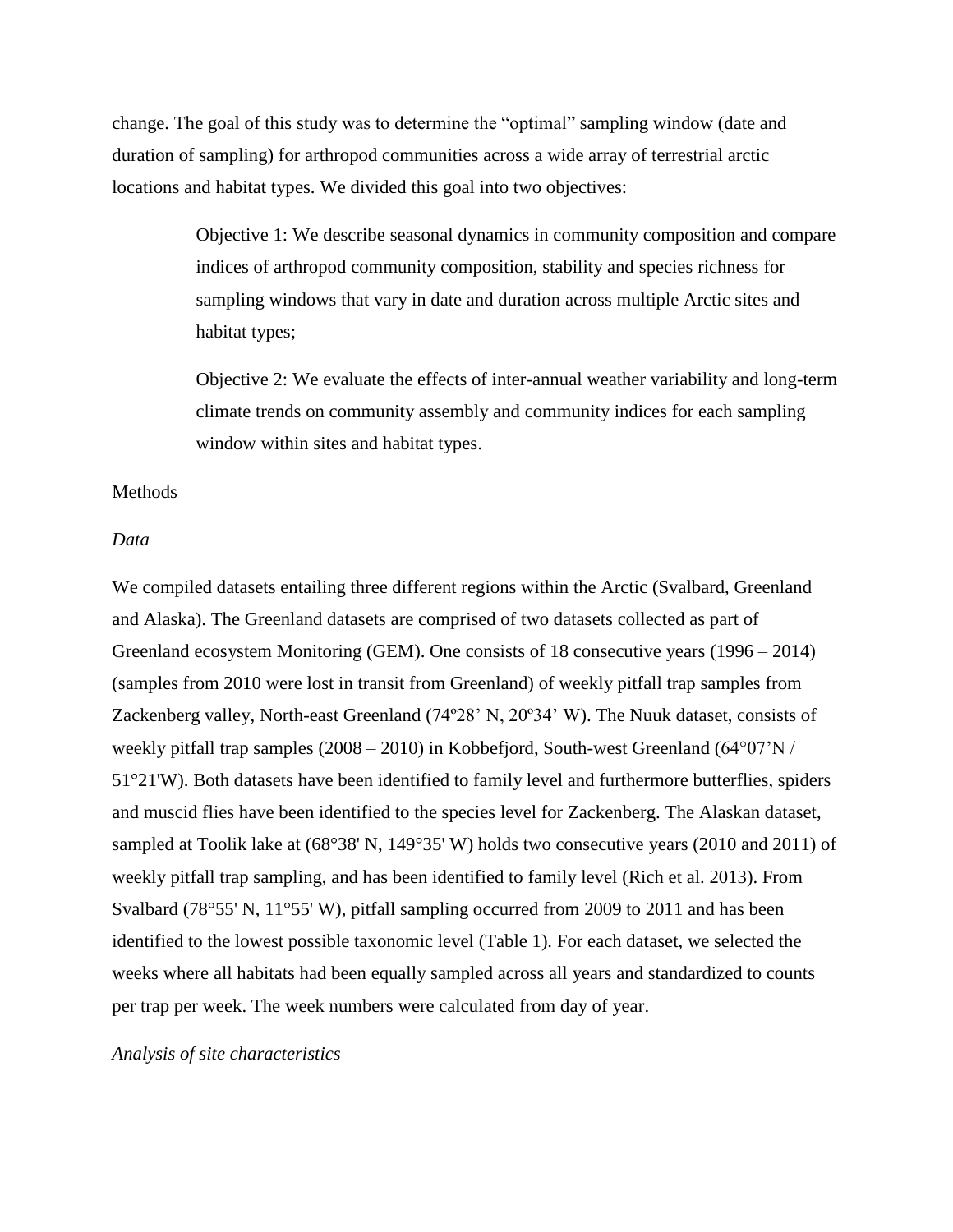change. The goal of this study was to determine the "optimal" sampling window (date and duration of sampling) for arthropod communities across a wide array of terrestrial arctic locations and habitat types. We divided this goal into two objectives:

> Objective 1: We describe seasonal dynamics in community composition and compare indices of arthropod community composition, stability and species richness for sampling windows that vary in date and duration across multiple Arctic sites and habitat types;

> Objective 2: We evaluate the effects of inter-annual weather variability and long-term climate trends on community assembly and community indices for each sampling window within sites and habitat types.

#### Methods

#### *Data*

We compiled datasets entailing three different regions within the Arctic (Svalbard, Greenland and Alaska). The Greenland datasets are comprised of two datasets collected as part of Greenland ecosystem Monitoring (GEM). One consists of 18 consecutive years (1996 – 2014) (samples from 2010 were lost in transit from Greenland) of weekly pitfall trap samples from Zackenberg valley, North-east Greenland (74º28' N, 20º34' W). The Nuuk dataset, consists of weekly pitfall trap samples (2008 – 2010) in Kobbefjord, South-west Greenland (64°07'N / 51°21'W). Both datasets have been identified to family level and furthermore butterflies, spiders and muscid flies have been identified to the species level for Zackenberg. The Alaskan dataset, sampled at Toolik lake at (68°38' N, 149°35' W) holds two consecutive years (2010 and 2011) of weekly pitfall trap sampling, and has been identified to family level (Rich et al. 2013). From Svalbard (78°55' N, 11°55' W), pitfall sampling occurred from 2009 to 2011 and has been identified to the lowest possible taxonomic level (Table 1). For each dataset, we selected the weeks where all habitats had been equally sampled across all years and standardized to counts per trap per week. The week numbers were calculated from day of year.

*Analysis of site characteristics*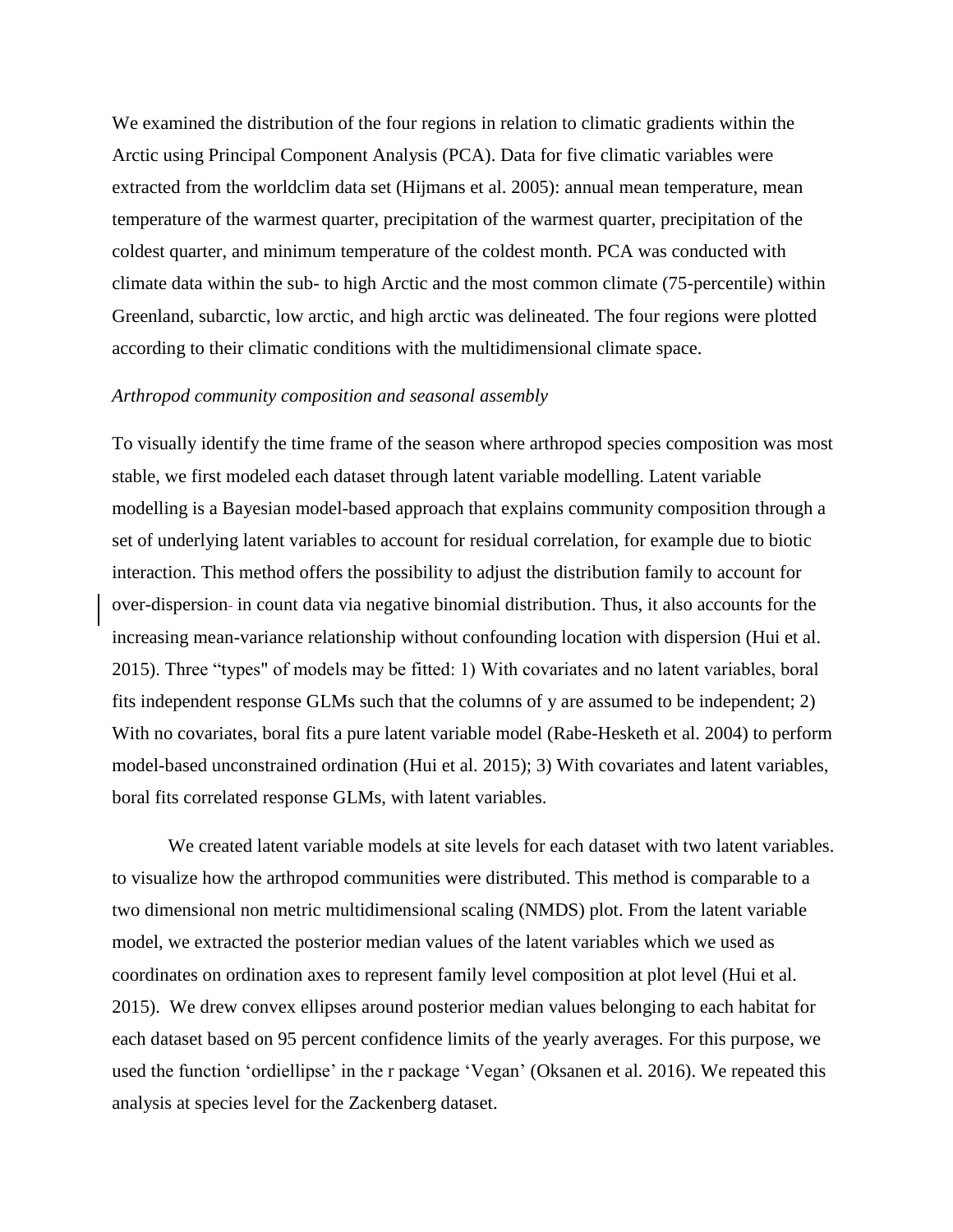We examined the distribution of the four regions in relation to climatic gradients within the Arctic using Principal Component Analysis (PCA). Data for five climatic variables were extracted from the worldclim data set (Hijmans et al. 2005): annual mean temperature, mean temperature of the warmest quarter, precipitation of the warmest quarter, precipitation of the coldest quarter, and minimum temperature of the coldest month. PCA was conducted with climate data within the sub- to high Arctic and the most common climate (75-percentile) within Greenland, subarctic, low arctic, and high arctic was delineated. The four regions were plotted according to their climatic conditions with the multidimensional climate space.

#### *Arthropod community composition and seasonal assembly*

To visually identify the time frame of the season where arthropod species composition was most stable, we first modeled each dataset through latent variable modelling. Latent variable modelling is a Bayesian model-based approach that explains community composition through a set of underlying latent variables to account for residual correlation, for example due to biotic interaction. This method offers the possibility to adjust the distribution family to account for over-dispersion- in count data via negative binomial distribution. Thus, it also accounts for the increasing mean-variance relationship without confounding location with dispersion (Hui et al. 2015). Three "types" of models may be fitted: 1) With covariates and no latent variables, boral fits independent response GLMs such that the columns of y are assumed to be independent; 2) With no covariates, boral fits a pure latent variable model (Rabe-Hesketh et al. 2004) to perform model-based unconstrained ordination (Hui et al. 2015); 3) With covariates and latent variables, boral fits correlated response GLMs, with latent variables.

We created latent variable models at site levels for each dataset with two latent variables. to visualize how the arthropod communities were distributed. This method is comparable to a two dimensional non metric multidimensional scaling (NMDS) plot. From the latent variable model, we extracted the posterior median values of the latent variables which we used as coordinates on ordination axes to represent family level composition at plot level (Hui et al. 2015). We drew convex ellipses around posterior median values belonging to each habitat for each dataset based on 95 percent confidence limits of the yearly averages. For this purpose, we used the function 'ordiellipse' in the r package 'Vegan' (Oksanen et al. 2016). We repeated this analysis at species level for the Zackenberg dataset.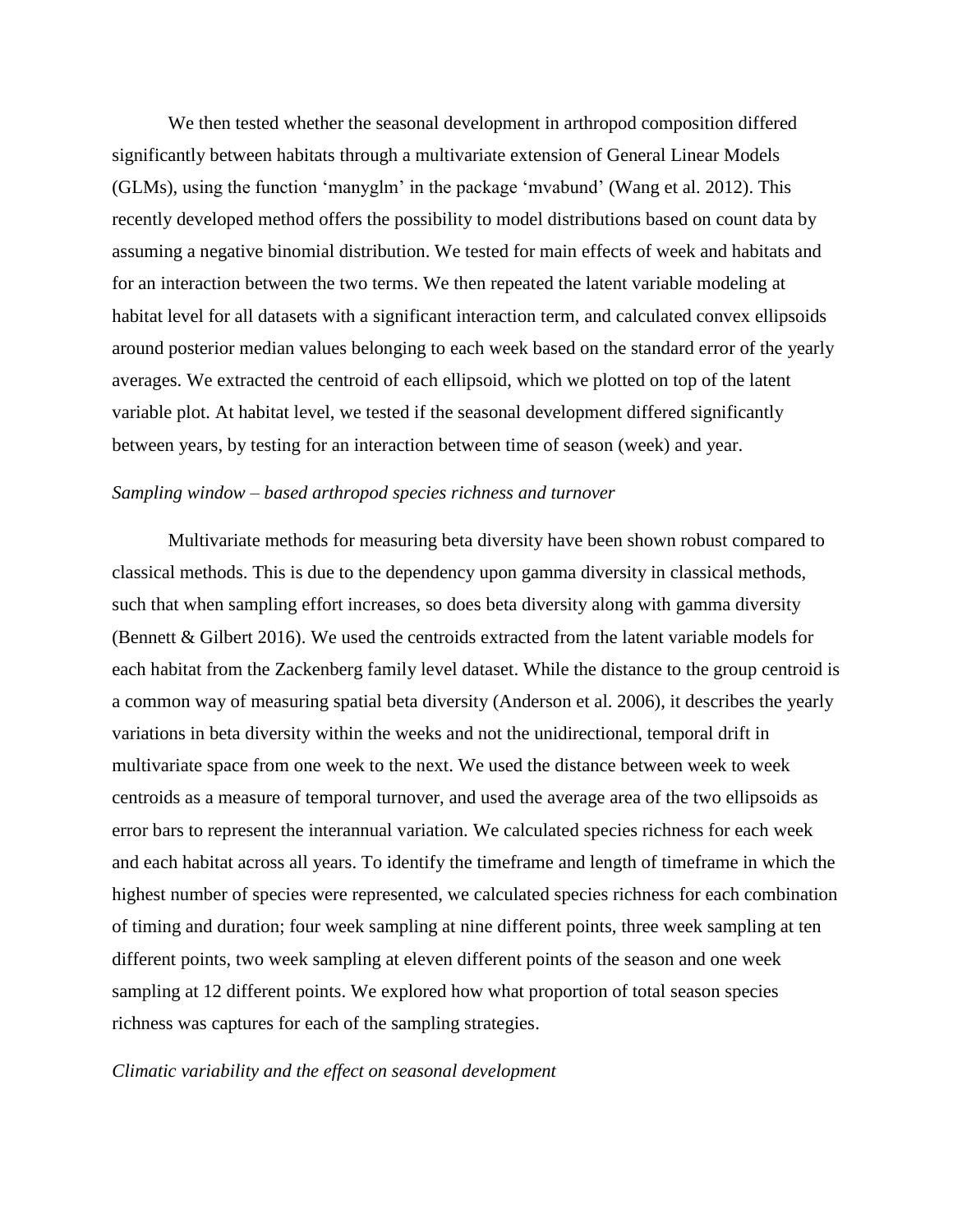We then tested whether the seasonal development in arthropod composition differed significantly between habitats through a multivariate extension of General Linear Models (GLMs), using the function 'manyglm' in the package 'mvabund' (Wang et al. 2012). This recently developed method offers the possibility to model distributions based on count data by assuming a negative binomial distribution. We tested for main effects of week and habitats and for an interaction between the two terms. We then repeated the latent variable modeling at habitat level for all datasets with a significant interaction term, and calculated convex ellipsoids around posterior median values belonging to each week based on the standard error of the yearly averages. We extracted the centroid of each ellipsoid, which we plotted on top of the latent variable plot. At habitat level, we tested if the seasonal development differed significantly between years, by testing for an interaction between time of season (week) and year.

#### *Sampling window – based arthropod species richness and turnover*

Multivariate methods for measuring beta diversity have been shown robust compared to classical methods. This is due to the dependency upon gamma diversity in classical methods, such that when sampling effort increases, so does beta diversity along with gamma diversity (Bennett & Gilbert 2016). We used the centroids extracted from the latent variable models for each habitat from the Zackenberg family level dataset. While the distance to the group centroid is a common way of measuring spatial beta diversity (Anderson et al. 2006), it describes the yearly variations in beta diversity within the weeks and not the unidirectional, temporal drift in multivariate space from one week to the next. We used the distance between week to week centroids as a measure of temporal turnover, and used the average area of the two ellipsoids as error bars to represent the interannual variation. We calculated species richness for each week and each habitat across all years. To identify the timeframe and length of timeframe in which the highest number of species were represented, we calculated species richness for each combination of timing and duration; four week sampling at nine different points, three week sampling at ten different points, two week sampling at eleven different points of the season and one week sampling at 12 different points. We explored how what proportion of total season species richness was captures for each of the sampling strategies.

#### *Climatic variability and the effect on seasonal development*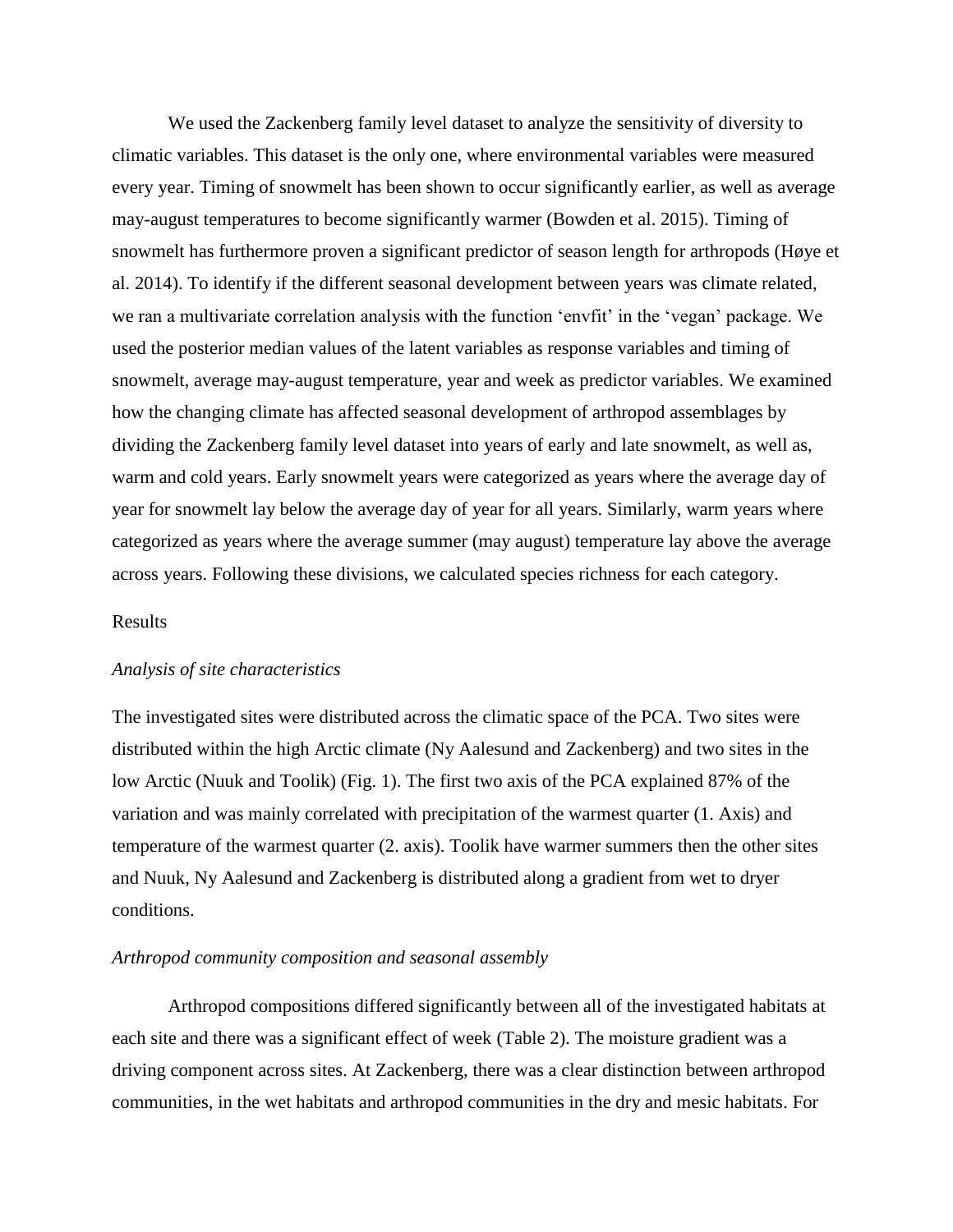We used the Zackenberg family level dataset to analyze the sensitivity of diversity to climatic variables. This dataset is the only one, where environmental variables were measured every year. Timing of snowmelt has been shown to occur significantly earlier, as well as average may-august temperatures to become significantly warmer (Bowden et al. 2015). Timing of snowmelt has furthermore proven a significant predictor of season length for arthropods (Høye et al. 2014). To identify if the different seasonal development between years was climate related, we ran a multivariate correlation analysis with the function 'envfit' in the 'vegan' package. We used the posterior median values of the latent variables as response variables and timing of snowmelt, average may-august temperature, year and week as predictor variables. We examined how the changing climate has affected seasonal development of arthropod assemblages by dividing the Zackenberg family level dataset into years of early and late snowmelt, as well as, warm and cold years. Early snowmelt years were categorized as years where the average day of year for snowmelt lay below the average day of year for all years. Similarly, warm years where categorized as years where the average summer (may august) temperature lay above the average across years. Following these divisions, we calculated species richness for each category.

#### Results

#### *Analysis of site characteristics*

The investigated sites were distributed across the climatic space of the PCA. Two sites were distributed within the high Arctic climate (Ny Aalesund and Zackenberg) and two sites in the low Arctic (Nuuk and Toolik) (Fig. 1). The first two axis of the PCA explained 87% of the variation and was mainly correlated with precipitation of the warmest quarter (1. Axis) and temperature of the warmest quarter (2. axis). Toolik have warmer summers then the other sites and Nuuk, Ny Aalesund and Zackenberg is distributed along a gradient from wet to dryer conditions.

#### *Arthropod community composition and seasonal assembly*

Arthropod compositions differed significantly between all of the investigated habitats at each site and there was a significant effect of week (Table 2). The moisture gradient was a driving component across sites. At Zackenberg, there was a clear distinction between arthropod communities, in the wet habitats and arthropod communities in the dry and mesic habitats. For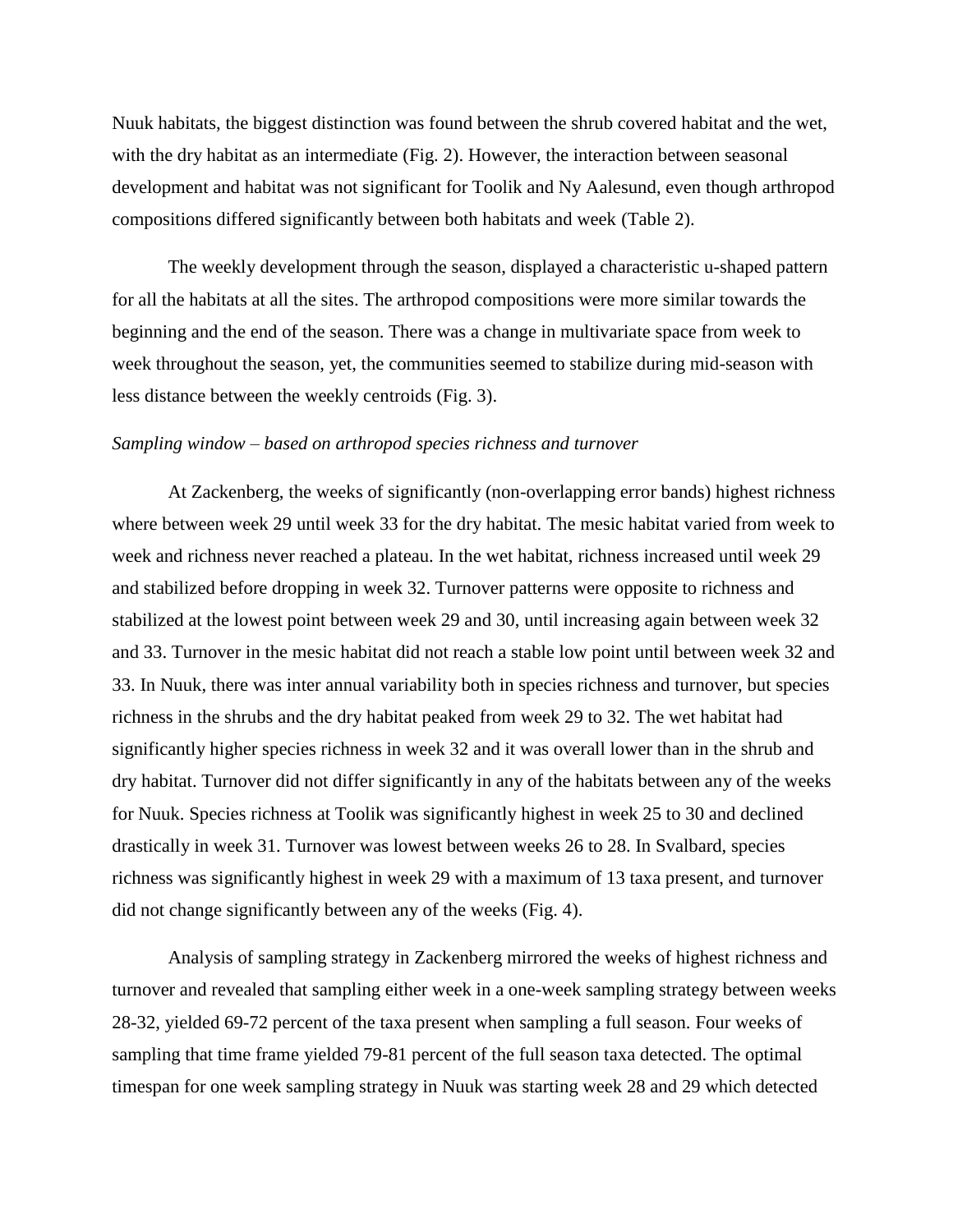Nuuk habitats, the biggest distinction was found between the shrub covered habitat and the wet, with the dry habitat as an intermediate (Fig. 2). However, the interaction between seasonal development and habitat was not significant for Toolik and Ny Aalesund, even though arthropod compositions differed significantly between both habitats and week (Table 2).

The weekly development through the season, displayed a characteristic u-shaped pattern for all the habitats at all the sites. The arthropod compositions were more similar towards the beginning and the end of the season. There was a change in multivariate space from week to week throughout the season, yet, the communities seemed to stabilize during mid-season with less distance between the weekly centroids (Fig. 3).

#### *Sampling window – based on arthropod species richness and turnover*

At Zackenberg, the weeks of significantly (non-overlapping error bands) highest richness where between week 29 until week 33 for the dry habitat. The mesic habitat varied from week to week and richness never reached a plateau. In the wet habitat, richness increased until week 29 and stabilized before dropping in week 32. Turnover patterns were opposite to richness and stabilized at the lowest point between week 29 and 30, until increasing again between week 32 and 33. Turnover in the mesic habitat did not reach a stable low point until between week 32 and 33. In Nuuk, there was inter annual variability both in species richness and turnover, but species richness in the shrubs and the dry habitat peaked from week 29 to 32. The wet habitat had significantly higher species richness in week 32 and it was overall lower than in the shrub and dry habitat. Turnover did not differ significantly in any of the habitats between any of the weeks for Nuuk. Species richness at Toolik was significantly highest in week 25 to 30 and declined drastically in week 31. Turnover was lowest between weeks 26 to 28. In Svalbard, species richness was significantly highest in week 29 with a maximum of 13 taxa present, and turnover did not change significantly between any of the weeks (Fig. 4).

Analysis of sampling strategy in Zackenberg mirrored the weeks of highest richness and turnover and revealed that sampling either week in a one-week sampling strategy between weeks 28-32, yielded 69-72 percent of the taxa present when sampling a full season. Four weeks of sampling that time frame yielded 79-81 percent of the full season taxa detected. The optimal timespan for one week sampling strategy in Nuuk was starting week 28 and 29 which detected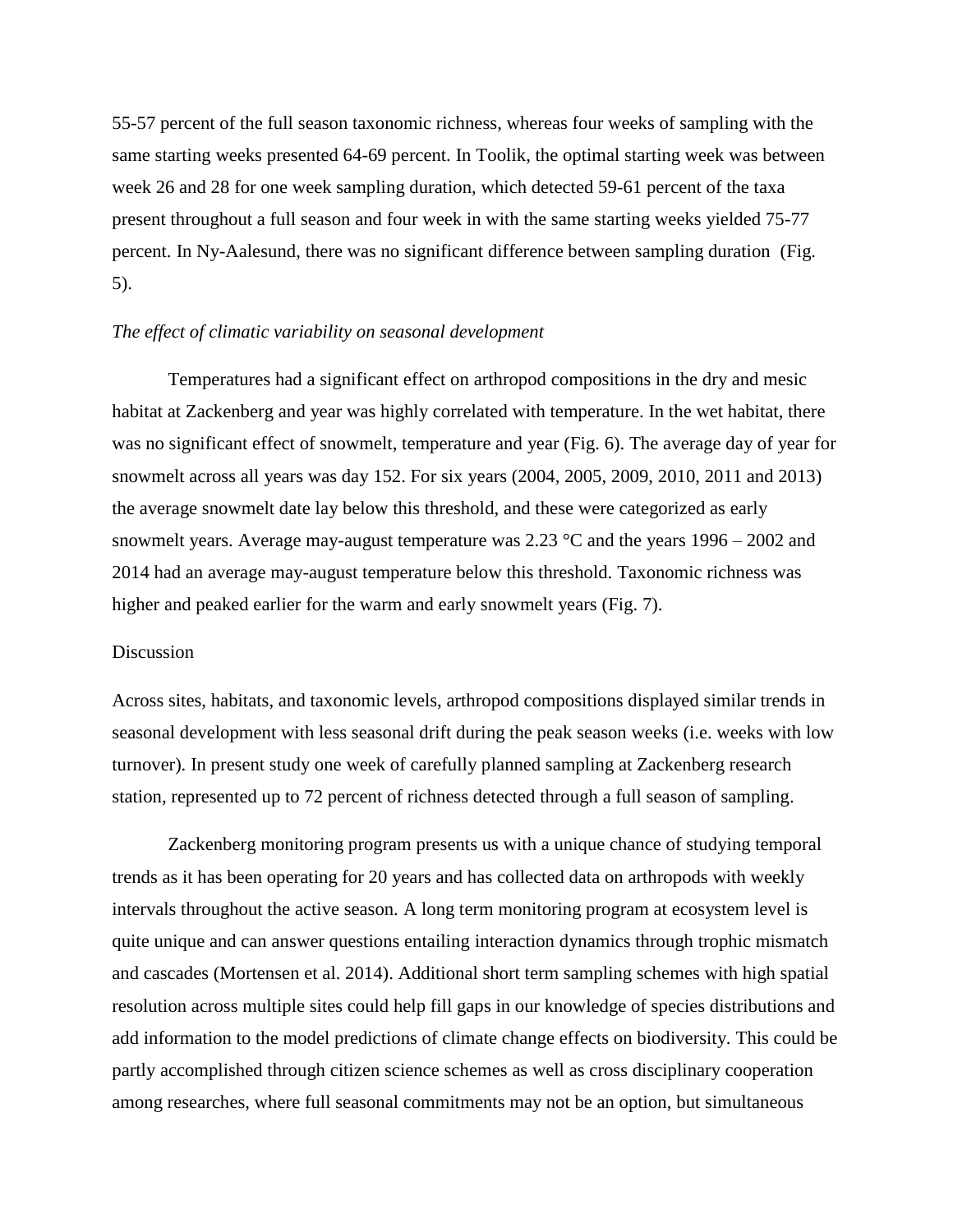55-57 percent of the full season taxonomic richness, whereas four weeks of sampling with the same starting weeks presented 64-69 percent. In Toolik, the optimal starting week was between week 26 and 28 for one week sampling duration, which detected 59-61 percent of the taxa present throughout a full season and four week in with the same starting weeks yielded 75-77 percent. In Ny-Aalesund, there was no significant difference between sampling duration (Fig. 5).

#### *The effect of climatic variability on seasonal development*

Temperatures had a significant effect on arthropod compositions in the dry and mesic habitat at Zackenberg and year was highly correlated with temperature. In the wet habitat, there was no significant effect of snowmelt, temperature and year (Fig. 6). The average day of year for snowmelt across all years was day 152. For six years (2004, 2005, 2009, 2010, 2011 and 2013) the average snowmelt date lay below this threshold, and these were categorized as early snowmelt years. Average may-august temperature was  $2.23 \text{ °C}$  and the years  $1996 - 2002$  and 2014 had an average may-august temperature below this threshold. Taxonomic richness was higher and peaked earlier for the warm and early snowmelt years (Fig. 7).

#### Discussion

Across sites, habitats, and taxonomic levels, arthropod compositions displayed similar trends in seasonal development with less seasonal drift during the peak season weeks (i.e. weeks with low turnover). In present study one week of carefully planned sampling at Zackenberg research station, represented up to 72 percent of richness detected through a full season of sampling.

Zackenberg monitoring program presents us with a unique chance of studying temporal trends as it has been operating for 20 years and has collected data on arthropods with weekly intervals throughout the active season. A long term monitoring program at ecosystem level is quite unique and can answer questions entailing interaction dynamics through trophic mismatch and cascades (Mortensen et al. 2014). Additional short term sampling schemes with high spatial resolution across multiple sites could help fill gaps in our knowledge of species distributions and add information to the model predictions of climate change effects on biodiversity. This could be partly accomplished through citizen science schemes as well as cross disciplinary cooperation among researches, where full seasonal commitments may not be an option, but simultaneous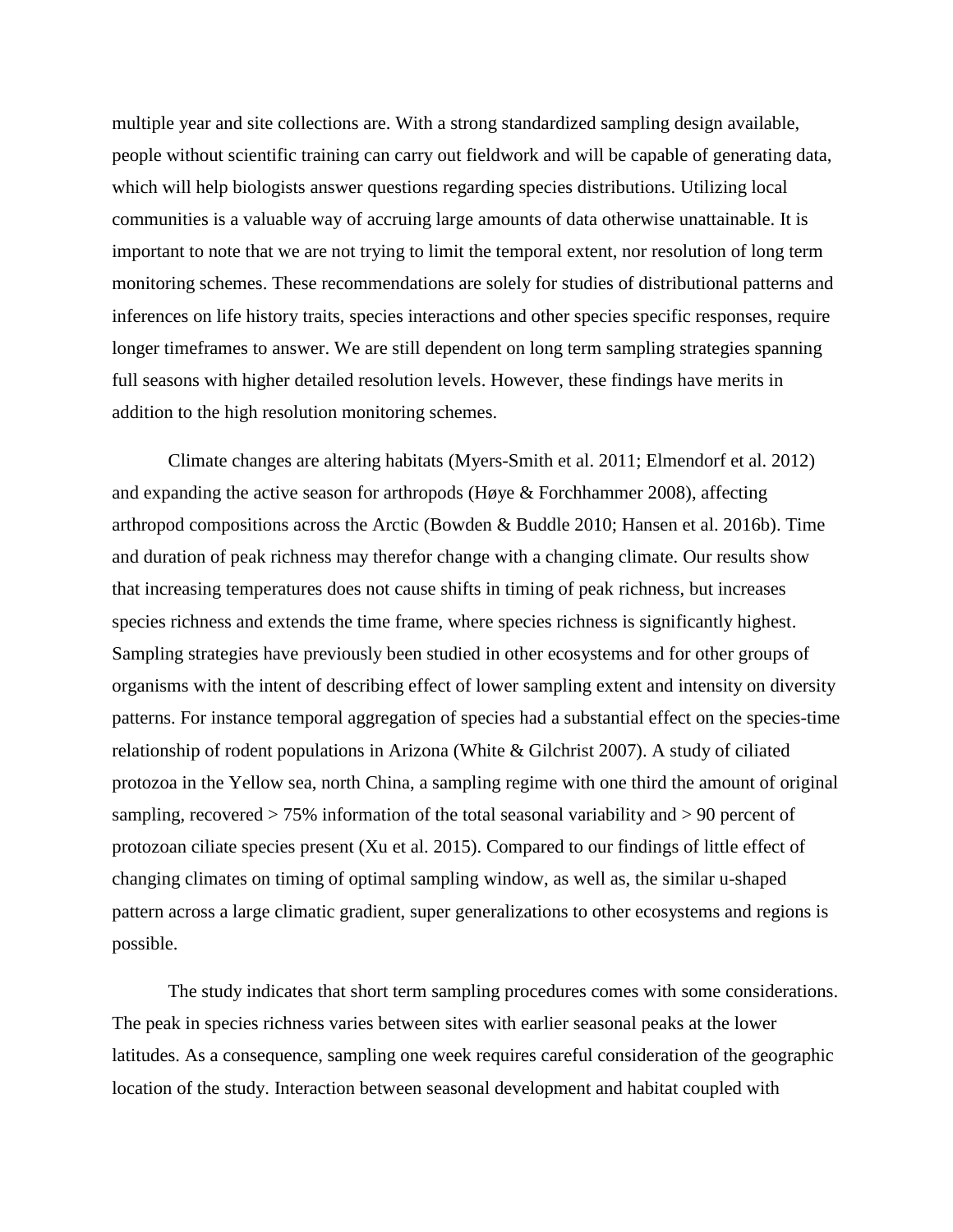multiple year and site collections are. With a strong standardized sampling design available, people without scientific training can carry out fieldwork and will be capable of generating data, which will help biologists answer questions regarding species distributions. Utilizing local communities is a valuable way of accruing large amounts of data otherwise unattainable. It is important to note that we are not trying to limit the temporal extent, nor resolution of long term monitoring schemes. These recommendations are solely for studies of distributional patterns and inferences on life history traits, species interactions and other species specific responses, require longer timeframes to answer. We are still dependent on long term sampling strategies spanning full seasons with higher detailed resolution levels. However, these findings have merits in addition to the high resolution monitoring schemes.

Climate changes are altering habitats (Myers-Smith et al. 2011; Elmendorf et al. 2012) and expanding the active season for arthropods (Høye & Forchhammer 2008), affecting arthropod compositions across the Arctic (Bowden & Buddle 2010; Hansen et al. 2016b). Time and duration of peak richness may therefor change with a changing climate. Our results show that increasing temperatures does not cause shifts in timing of peak richness, but increases species richness and extends the time frame, where species richness is significantly highest. Sampling strategies have previously been studied in other ecosystems and for other groups of organisms with the intent of describing effect of lower sampling extent and intensity on diversity patterns. For instance temporal aggregation of species had a substantial effect on the species-time relationship of rodent populations in Arizona (White & Gilchrist 2007). A study of ciliated protozoa in the Yellow sea, north China, a sampling regime with one third the amount of original sampling, recovered > 75% information of the total seasonal variability and > 90 percent of protozoan ciliate species present (Xu et al. 2015). Compared to our findings of little effect of changing climates on timing of optimal sampling window, as well as, the similar u-shaped pattern across a large climatic gradient, super generalizations to other ecosystems and regions is possible.

The study indicates that short term sampling procedures comes with some considerations. The peak in species richness varies between sites with earlier seasonal peaks at the lower latitudes. As a consequence, sampling one week requires careful consideration of the geographic location of the study. Interaction between seasonal development and habitat coupled with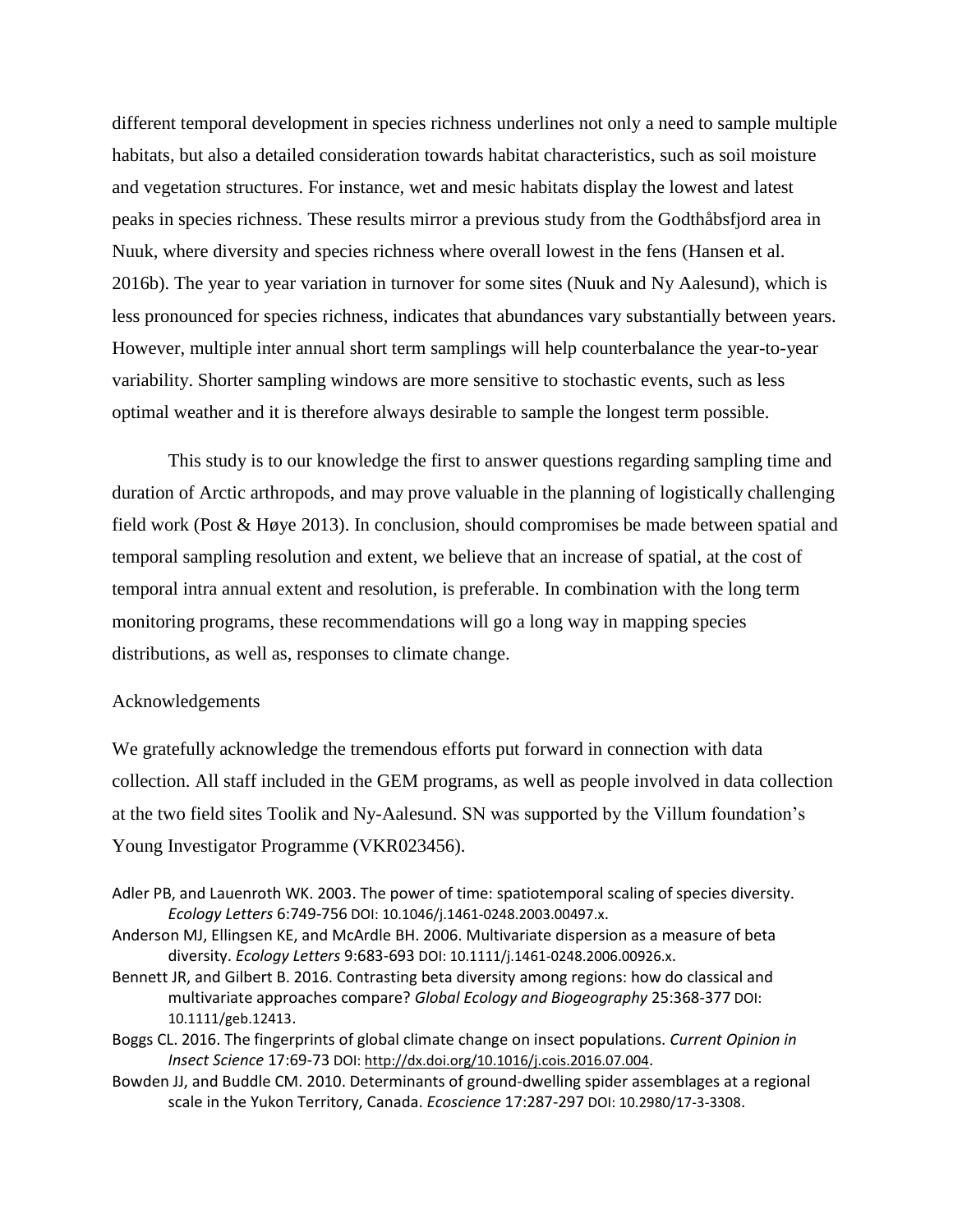different temporal development in species richness underlines not only a need to sample multiple habitats, but also a detailed consideration towards habitat characteristics, such as soil moisture and vegetation structures. For instance, wet and mesic habitats display the lowest and latest peaks in species richness. These results mirror a previous study from the Godthåbsfjord area in Nuuk, where diversity and species richness where overall lowest in the fens (Hansen et al. 2016b). The year to year variation in turnover for some sites (Nuuk and Ny Aalesund), which is less pronounced for species richness, indicates that abundances vary substantially between years. However, multiple inter annual short term samplings will help counterbalance the year-to-year variability. Shorter sampling windows are more sensitive to stochastic events, such as less optimal weather and it is therefore always desirable to sample the longest term possible.

This study is to our knowledge the first to answer questions regarding sampling time and duration of Arctic arthropods, and may prove valuable in the planning of logistically challenging field work (Post & Høye 2013). In conclusion, should compromises be made between spatial and temporal sampling resolution and extent, we believe that an increase of spatial, at the cost of temporal intra annual extent and resolution, is preferable. In combination with the long term monitoring programs, these recommendations will go a long way in mapping species distributions, as well as, responses to climate change.

#### Acknowledgements

We gratefully acknowledge the tremendous efforts put forward in connection with data collection. All staff included in the GEM programs, as well as people involved in data collection at the two field sites Toolik and Ny-Aalesund. SN was supported by the Villum foundation's Young Investigator Programme (VKR023456).

- Adler PB, and Lauenroth WK. 2003. The power of time: spatiotemporal scaling of species diversity. *Ecology Letters* 6:749-756 DOI: 10.1046/j.1461-0248.2003.00497.x.
- Anderson MJ, Ellingsen KE, and McArdle BH. 2006. Multivariate dispersion as a measure of beta diversity. *Ecology Letters* 9:683-693 DOI: 10.1111/j.1461-0248.2006.00926.x.
- Bennett JR, and Gilbert B. 2016. Contrasting beta diversity among regions: how do classical and multivariate approaches compare? *Global Ecology and Biogeography* 25:368-377 DOI: 10.1111/geb.12413.
- Boggs CL. 2016. The fingerprints of global climate change on insect populations. *Current Opinion in Insect Science* 17:69-73 DOI[: http://dx.doi.org/10.1016/j.cois.2016.07.004](http://dx.doi.org/10.1016/j.cois.2016.07.004).
- Bowden JJ, and Buddle CM. 2010. Determinants of ground-dwelling spider assemblages at a regional scale in the Yukon Territory, Canada. *Ecoscience* 17:287-297 DOI: 10.2980/17-3-3308.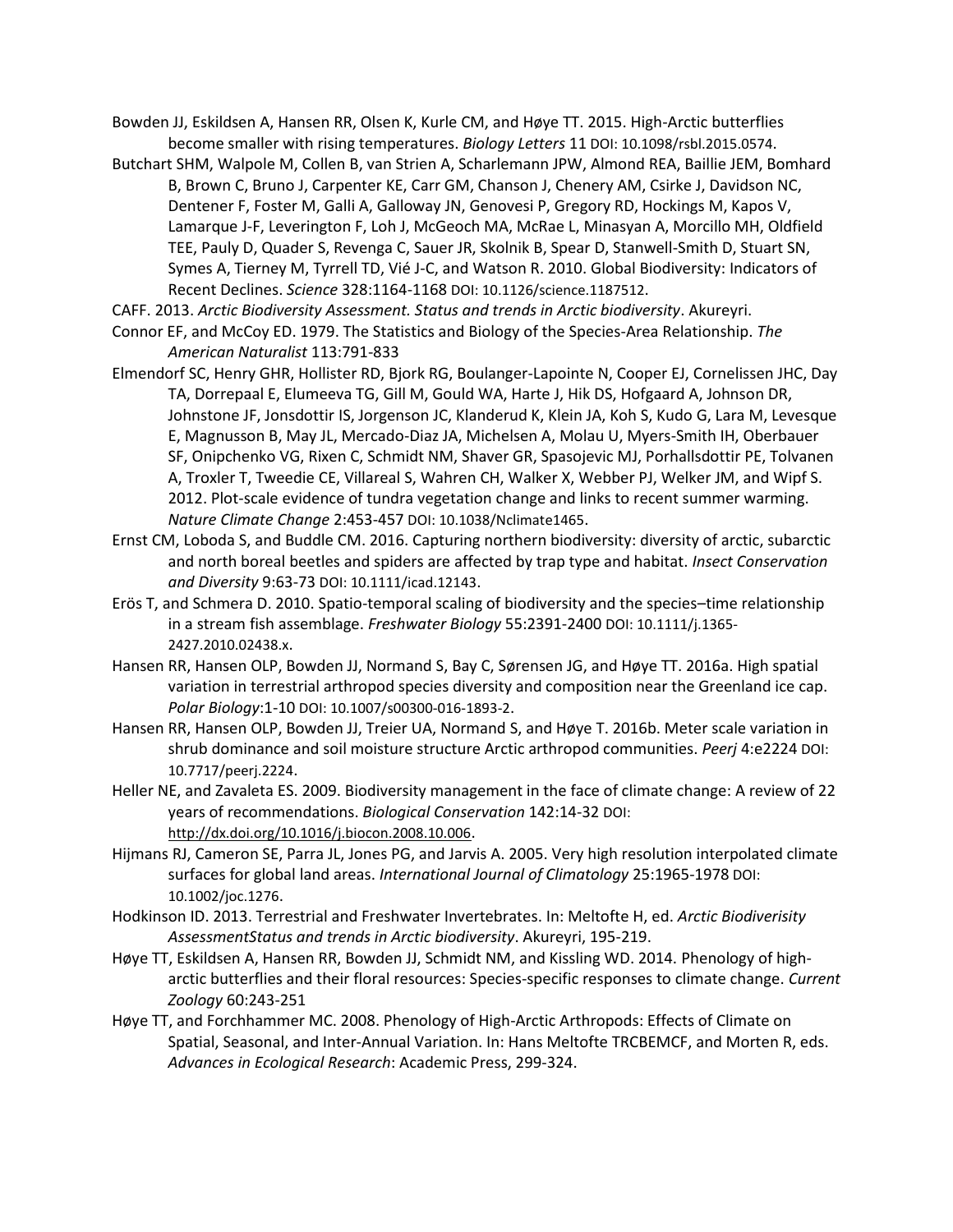- Bowden JJ, Eskildsen A, Hansen RR, Olsen K, Kurle CM, and Høye TT. 2015. High-Arctic butterflies become smaller with rising temperatures. *Biology Letters* 11 DOI: 10.1098/rsbl.2015.0574.
- Butchart SHM, Walpole M, Collen B, van Strien A, Scharlemann JPW, Almond REA, Baillie JEM, Bomhard B, Brown C, Bruno J, Carpenter KE, Carr GM, Chanson J, Chenery AM, Csirke J, Davidson NC, Dentener F, Foster M, Galli A, Galloway JN, Genovesi P, Gregory RD, Hockings M, Kapos V, Lamarque J-F, Leverington F, Loh J, McGeoch MA, McRae L, Minasyan A, Morcillo MH, Oldfield TEE, Pauly D, Quader S, Revenga C, Sauer JR, Skolnik B, Spear D, Stanwell-Smith D, Stuart SN, Symes A, Tierney M, Tyrrell TD, Vié J-C, and Watson R. 2010. Global Biodiversity: Indicators of Recent Declines. *Science* 328:1164-1168 DOI: 10.1126/science.1187512.
- CAFF. 2013. *Arctic Biodiversity Assessment. Status and trends in Arctic biodiversity*. Akureyri.
- Connor EF, and McCoy ED. 1979. The Statistics and Biology of the Species-Area Relationship. *The American Naturalist* 113:791-833
- Elmendorf SC, Henry GHR, Hollister RD, Bjork RG, Boulanger-Lapointe N, Cooper EJ, Cornelissen JHC, Day TA, Dorrepaal E, Elumeeva TG, Gill M, Gould WA, Harte J, Hik DS, Hofgaard A, Johnson DR, Johnstone JF, Jonsdottir IS, Jorgenson JC, Klanderud K, Klein JA, Koh S, Kudo G, Lara M, Levesque E, Magnusson B, May JL, Mercado-Diaz JA, Michelsen A, Molau U, Myers-Smith IH, Oberbauer SF, Onipchenko VG, Rixen C, Schmidt NM, Shaver GR, Spasojevic MJ, Porhallsdottir PE, Tolvanen A, Troxler T, Tweedie CE, Villareal S, Wahren CH, Walker X, Webber PJ, Welker JM, and Wipf S. 2012. Plot-scale evidence of tundra vegetation change and links to recent summer warming. *Nature Climate Change* 2:453-457 DOI: 10.1038/Nclimate1465.
- Ernst CM, Loboda S, and Buddle CM. 2016. Capturing northern biodiversity: diversity of arctic, subarctic and north boreal beetles and spiders are affected by trap type and habitat. *Insect Conservation and Diversity* 9:63-73 DOI: 10.1111/icad.12143.
- Erös T, and Schmera D. 2010. Spatio-temporal scaling of biodiversity and the species–time relationship in a stream fish assemblage. *Freshwater Biology* 55:2391-2400 DOI: 10.1111/j.1365- 2427.2010.02438.x.
- Hansen RR, Hansen OLP, Bowden JJ, Normand S, Bay C, Sørensen JG, and Høye TT. 2016a. High spatial variation in terrestrial arthropod species diversity and composition near the Greenland ice cap. *Polar Biology*:1-10 DOI: 10.1007/s00300-016-1893-2.
- Hansen RR, Hansen OLP, Bowden JJ, Treier UA, Normand S, and Høye T. 2016b. Meter scale variation in shrub dominance and soil moisture structure Arctic arthropod communities. *Peerj* 4:e2224 DOI: 10.7717/peerj.2224.
- Heller NE, and Zavaleta ES. 2009. Biodiversity management in the face of climate change: A review of 22 years of recommendations. *Biological Conservation* 142:14-32 DOI: <http://dx.doi.org/10.1016/j.biocon.2008.10.006>.
- Hijmans RJ, Cameron SE, Parra JL, Jones PG, and Jarvis A. 2005. Very high resolution interpolated climate surfaces for global land areas. *International Journal of Climatology* 25:1965-1978 DOI: 10.1002/joc.1276.
- Hodkinson ID. 2013. Terrestrial and Freshwater Invertebrates. In: Meltofte H, ed. *Arctic Biodiverisity AssessmentStatus and trends in Arctic biodiversity*. Akureyri, 195-219.
- Høye TT, Eskildsen A, Hansen RR, Bowden JJ, Schmidt NM, and Kissling WD. 2014. Phenology of higharctic butterflies and their floral resources: Species-specific responses to climate change. *Current Zoology* 60:243-251
- Høye TT, and Forchhammer MC. 2008. Phenology of High-Arctic Arthropods: Effects of Climate on Spatial, Seasonal, and Inter-Annual Variation. In: Hans Meltofte TRCBEMCF, and Morten R, eds. *Advances in Ecological Research*: Academic Press, 299-324.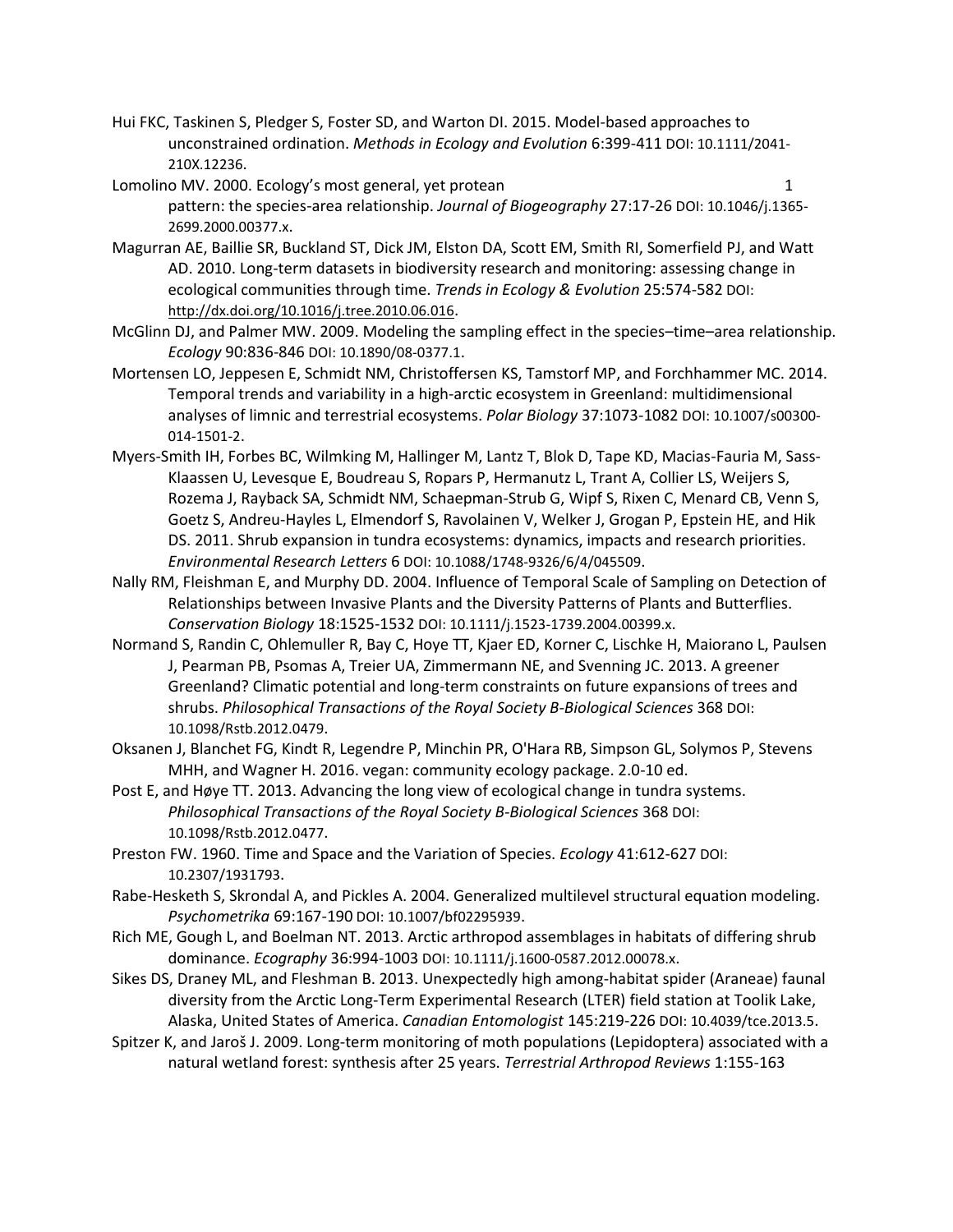- Hui FKC, Taskinen S, Pledger S, Foster SD, and Warton DI. 2015. Model-based approaches to unconstrained ordination. *Methods in Ecology and Evolution* 6:399-411 DOI: 10.1111/2041- 210X.12236.
- Lomolino MV. 2000. Ecology's most general, yet protean 1 pattern: the species-area relationship. *Journal of Biogeography* 27:17-26 DOI: 10.1046/j.1365- 2699.2000.00377.x.
- Magurran AE, Baillie SR, Buckland ST, Dick JM, Elston DA, Scott EM, Smith RI, Somerfield PJ, and Watt AD. 2010. Long-term datasets in biodiversity research and monitoring: assessing change in ecological communities through time. *Trends in Ecology & Evolution* 25:574-582 DOI: <http://dx.doi.org/10.1016/j.tree.2010.06.016>.
- McGlinn DJ, and Palmer MW. 2009. Modeling the sampling effect in the species–time–area relationship. *Ecology* 90:836-846 DOI: 10.1890/08-0377.1.
- Mortensen LO, Jeppesen E, Schmidt NM, Christoffersen KS, Tamstorf MP, and Forchhammer MC. 2014. Temporal trends and variability in a high-arctic ecosystem in Greenland: multidimensional analyses of limnic and terrestrial ecosystems. *Polar Biology* 37:1073-1082 DOI: 10.1007/s00300- 014-1501-2.
- Myers-Smith IH, Forbes BC, Wilmking M, Hallinger M, Lantz T, Blok D, Tape KD, Macias-Fauria M, Sass-Klaassen U, Levesque E, Boudreau S, Ropars P, Hermanutz L, Trant A, Collier LS, Weijers S, Rozema J, Rayback SA, Schmidt NM, Schaepman-Strub G, Wipf S, Rixen C, Menard CB, Venn S, Goetz S, Andreu-Hayles L, Elmendorf S, Ravolainen V, Welker J, Grogan P, Epstein HE, and Hik DS. 2011. Shrub expansion in tundra ecosystems: dynamics, impacts and research priorities. *Environmental Research Letters* 6 DOI: 10.1088/1748-9326/6/4/045509.
- Nally RM, Fleishman E, and Murphy DD. 2004. Influence of Temporal Scale of Sampling on Detection of Relationships between Invasive Plants and the Diversity Patterns of Plants and Butterflies. *Conservation Biology* 18:1525-1532 DOI: 10.1111/j.1523-1739.2004.00399.x.
- Normand S, Randin C, Ohlemuller R, Bay C, Hoye TT, Kjaer ED, Korner C, Lischke H, Maiorano L, Paulsen J, Pearman PB, Psomas A, Treier UA, Zimmermann NE, and Svenning JC. 2013. A greener Greenland? Climatic potential and long-term constraints on future expansions of trees and shrubs. *Philosophical Transactions of the Royal Society B-Biological Sciences* 368 DOI: 10.1098/Rstb.2012.0479.
- Oksanen J, Blanchet FG, Kindt R, Legendre P, Minchin PR, O'Hara RB, Simpson GL, Solymos P, Stevens MHH, and Wagner H. 2016. vegan: community ecology package. 2.0-10 ed.
- Post E, and Høye TT. 2013. Advancing the long view of ecological change in tundra systems. *Philosophical Transactions of the Royal Society B-Biological Sciences* 368 DOI: 10.1098/Rstb.2012.0477.
- Preston FW. 1960. Time and Space and the Variation of Species. *Ecology* 41:612-627 DOI: 10.2307/1931793.
- Rabe-Hesketh S, Skrondal A, and Pickles A. 2004. Generalized multilevel structural equation modeling. *Psychometrika* 69:167-190 DOI: 10.1007/bf02295939.
- Rich ME, Gough L, and Boelman NT. 2013. Arctic arthropod assemblages in habitats of differing shrub dominance. *Ecography* 36:994-1003 DOI: 10.1111/j.1600-0587.2012.00078.x.
- Sikes DS, Draney ML, and Fleshman B. 2013. Unexpectedly high among-habitat spider (Araneae) faunal diversity from the Arctic Long-Term Experimental Research (LTER) field station at Toolik Lake, Alaska, United States of America. *Canadian Entomologist* 145:219-226 DOI: 10.4039/tce.2013.5.
- Spitzer K, and Jaroš J. 2009. Long-term monitoring of moth populations (Lepidoptera) associated with a natural wetland forest: synthesis after 25 years. *Terrestrial Arthropod Reviews* 1:155-163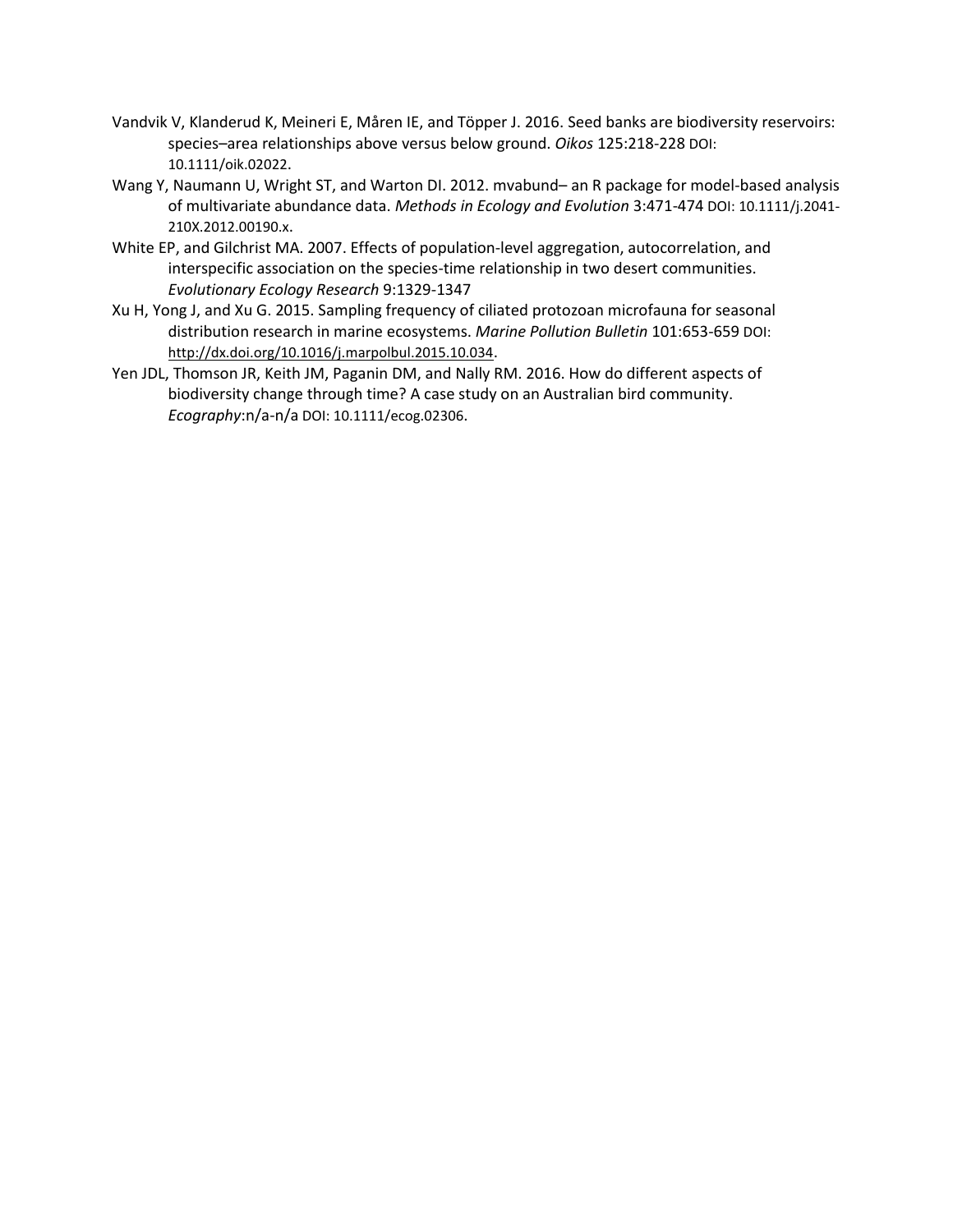- Vandvik V, Klanderud K, Meineri E, Måren IE, and Töpper J. 2016. Seed banks are biodiversity reservoirs: species–area relationships above versus below ground. *Oikos* 125:218-228 DOI: 10.1111/oik.02022.
- Wang Y, Naumann U, Wright ST, and Warton DI. 2012. mvabund– an R package for model-based analysis of multivariate abundance data. *Methods in Ecology and Evolution* 3:471-474 DOI: 10.1111/j.2041- 210X.2012.00190.x.
- White EP, and Gilchrist MA. 2007. Effects of population-level aggregation, autocorrelation, and interspecific association on the species-time relationship in two desert communities. *Evolutionary Ecology Research* 9:1329-1347
- Xu H, Yong J, and Xu G. 2015. Sampling frequency of ciliated protozoan microfauna for seasonal distribution research in marine ecosystems. *Marine Pollution Bulletin* 101:653-659 DOI: <http://dx.doi.org/10.1016/j.marpolbul.2015.10.034>.
- Yen JDL, Thomson JR, Keith JM, Paganin DM, and Nally RM. 2016. How do different aspects of biodiversity change through time? A case study on an Australian bird community. *Ecography*:n/a-n/a DOI: 10.1111/ecog.02306.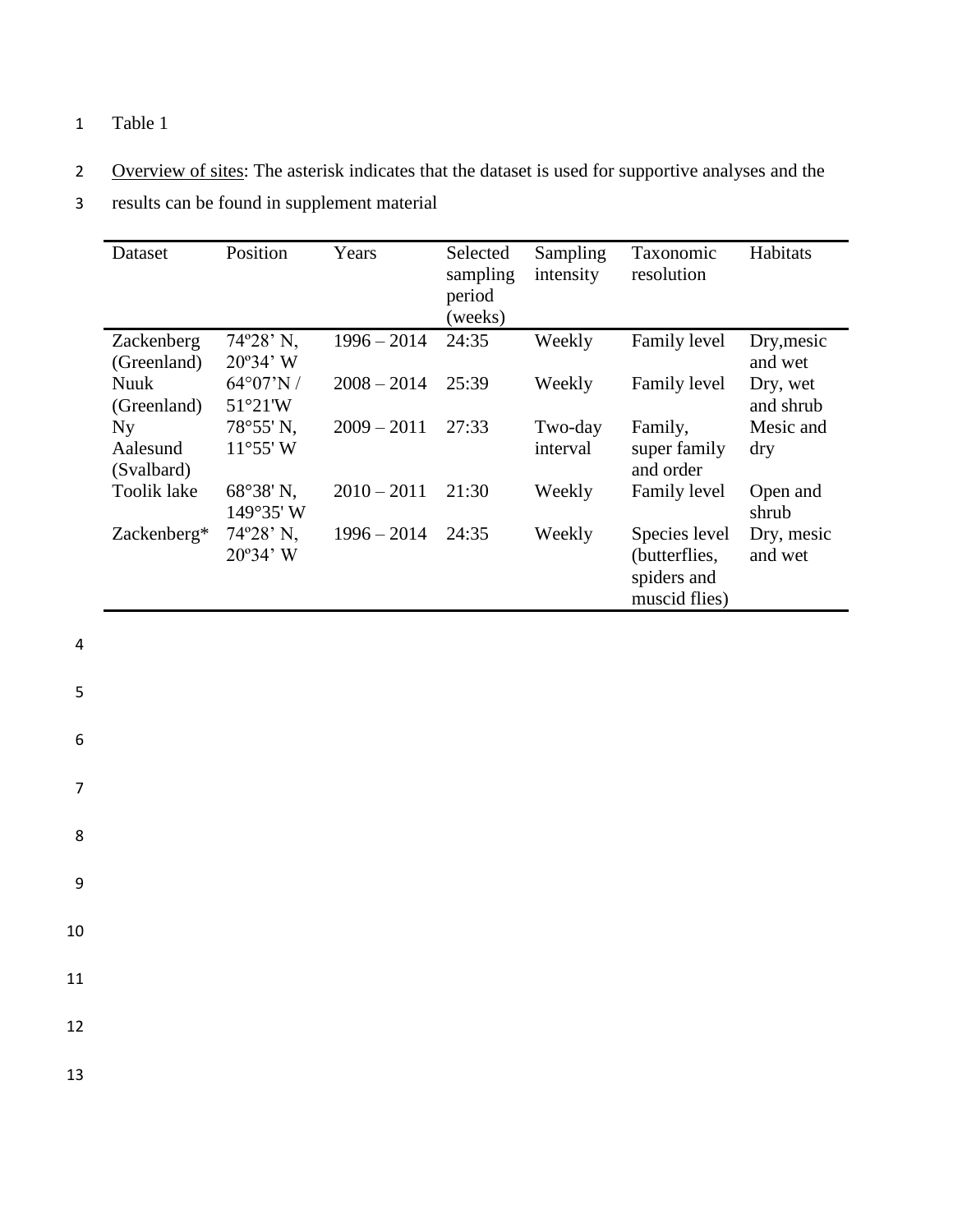### 1 Table 1

2 Overview of sites: The asterisk indicates that the dataset is used for supportive analyses and the

3 results can be found in supplement material

| Dataset                      | Position                                | Years         | Selected<br>sampling<br>period<br>(weeks) | Sampling<br>intensity | <b>Taxonomic</b><br>resolution                                 | Habitats              |
|------------------------------|-----------------------------------------|---------------|-------------------------------------------|-----------------------|----------------------------------------------------------------|-----------------------|
| Zackenberg<br>(Greenland)    | $74^{\circ}28'$ N,<br>$20^{\circ}34'$ W | $1996 - 2014$ | 24:35                                     | Weekly                | Family level                                                   | Dry, mesic<br>and wet |
| Nuuk<br>(Greenland)          | $64^{\circ}07'N/$<br>51°21'W            | $2008 - 2014$ | 25:39                                     | Weekly                | Family level                                                   | Dry, wet<br>and shrub |
| Ny<br>Aalesund<br>(Svalbard) | 78°55' N.<br>$11^{\circ}55'$ W          | $2009 - 2011$ | 27:33                                     | Two-day<br>interval   | Family,<br>super family<br>and order                           | Mesic and<br>dry      |
| <b>Toolik lake</b>           | 68°38' N,<br>149°35' W                  | $2010 - 2011$ | 21:30                                     | Weekly                | Family level                                                   | Open and<br>shrub     |
| Zackenberg*                  | $74^{\circ}28'$ N,<br>$20^{\circ}34'$ W | $1996 - 2014$ | 24:35                                     | Weekly                | Species level<br>(butterflies,<br>spiders and<br>muscid flies) | Dry, mesic<br>and wet |

4

5

6

7

8

9

10

11

12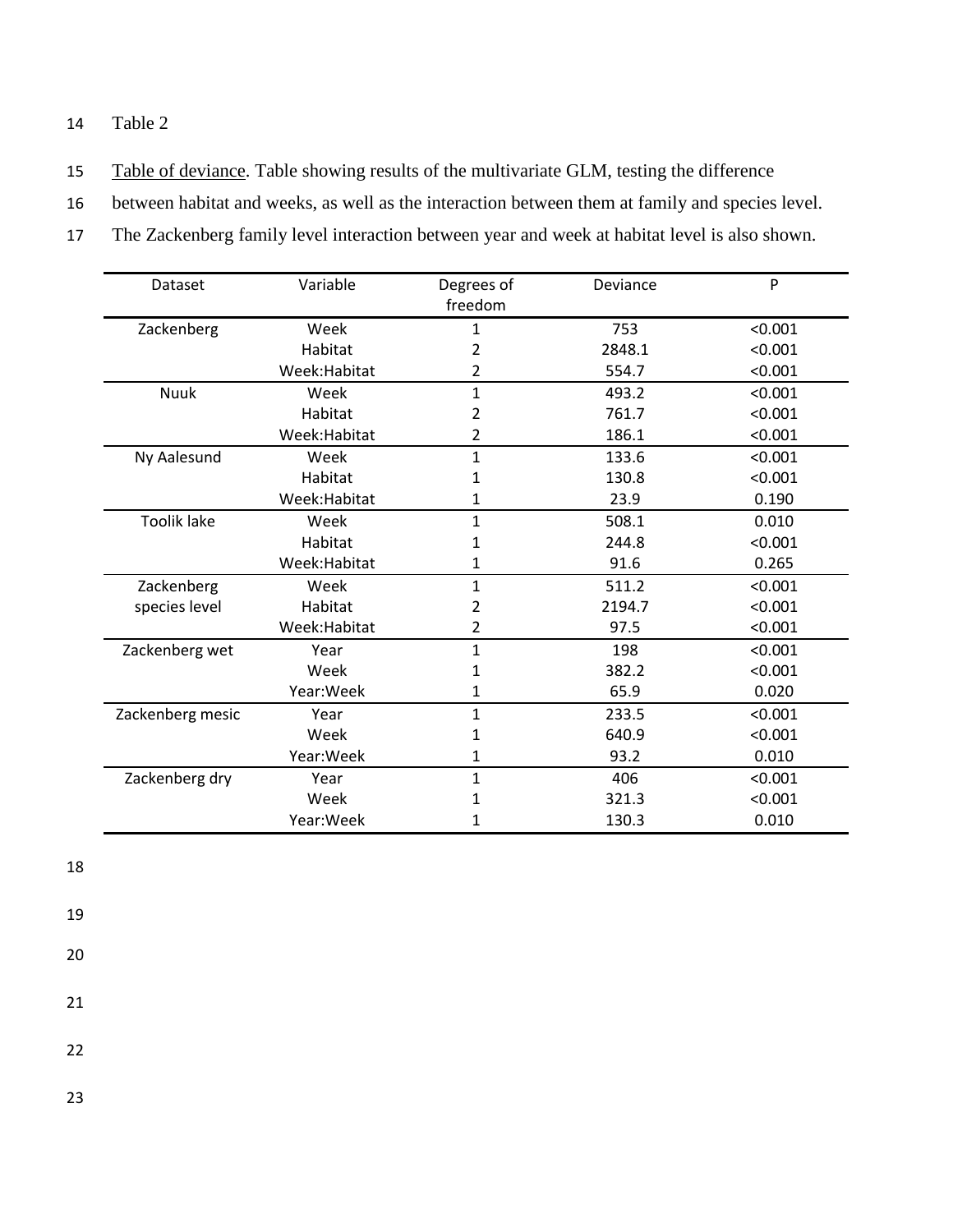#### 14 Table 2

15 Table of deviance. Table showing results of the multivariate GLM, testing the difference

16 between habitat and weeks, as well as the interaction between them at family and species level.

17 The Zackenberg family level interaction between year and week at habitat level is also shown.

| Dataset            | Variable      | Degrees of<br>freedom | Deviance | P       |
|--------------------|---------------|-----------------------|----------|---------|
| Zackenberg         | Week          | 1                     | 753      | < 0.001 |
|                    | Habitat       | 2                     | 2848.1   | < 0.001 |
|                    | Week: Habitat | 2                     | 554.7    | < 0.001 |
| <b>Nuuk</b>        | Week          | $\mathbf{1}$          | 493.2    | < 0.001 |
|                    | Habitat       | 2                     | 761.7    | < 0.001 |
|                    | Week: Habitat | 2                     | 186.1    | < 0.001 |
| Ny Aalesund        | Week          | $\mathbf{1}$          | 133.6    | < 0.001 |
|                    | Habitat       | 1                     | 130.8    | < 0.001 |
|                    | Week: Habitat | 1                     | 23.9     | 0.190   |
| <b>Toolik lake</b> | Week          | $\mathbf{1}$          | 508.1    | 0.010   |
|                    | Habitat       | 1                     | 244.8    | < 0.001 |
|                    | Week:Habitat  | 1                     | 91.6     | 0.265   |
| Zackenberg         | Week          | 1                     | 511.2    | < 0.001 |
| species level      | Habitat       | 2                     | 2194.7   | < 0.001 |
|                    | Week: Habitat | 2                     | 97.5     | < 0.001 |
| Zackenberg wet     | Year          | $\mathbf{1}$          | 198      | < 0.001 |
|                    | Week          | 1                     | 382.2    | < 0.001 |
|                    | Year: Week    | 1                     | 65.9     | 0.020   |
| Zackenberg mesic   | Year          | 1                     | 233.5    | < 0.001 |
|                    | Week          | 1                     | 640.9    | < 0.001 |
|                    | Year: Week    | 1                     | 93.2     | 0.010   |
| Zackenberg dry     | Year          | 1                     | 406      | < 0.001 |
|                    | Week          | 1                     | 321.3    | < 0.001 |
|                    | Year:Week     | 1                     | 130.3    | 0.010   |

18

19

20

21

22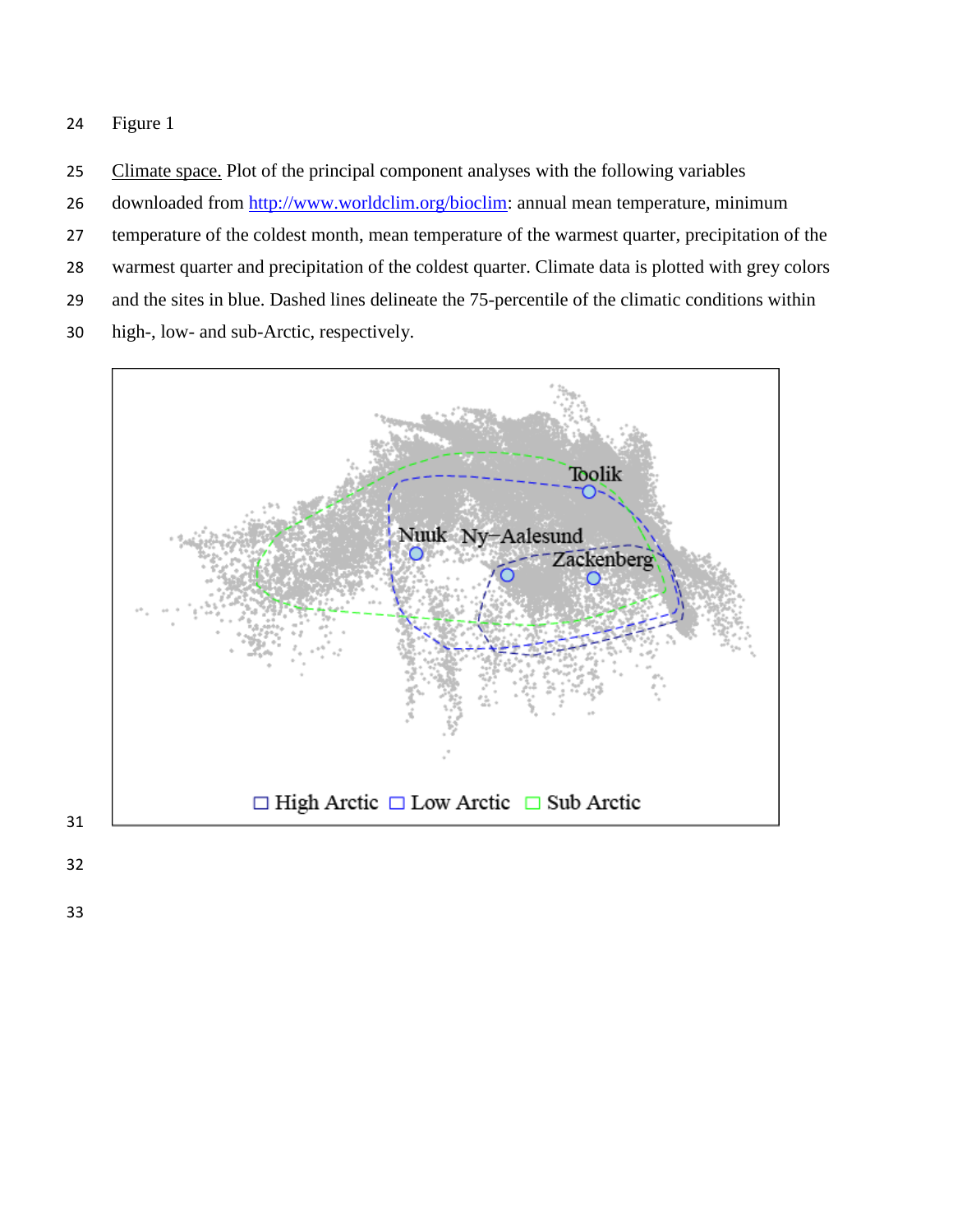25 Climate space. Plot of the principal component analyses with the following variables

- 26 downloaded from [http://www.worldclim.org/bioclim:](http://www.worldclim.org/bioclim) annual mean temperature, minimum
- temperature of the coldest month, mean temperature of the warmest quarter, precipitation of the
- warmest quarter and precipitation of the coldest quarter. Climate data is plotted with grey colors
- and the sites in blue. Dashed lines delineate the 75-percentile of the climatic conditions within
- high-, low- and sub-Arctic, respectively.

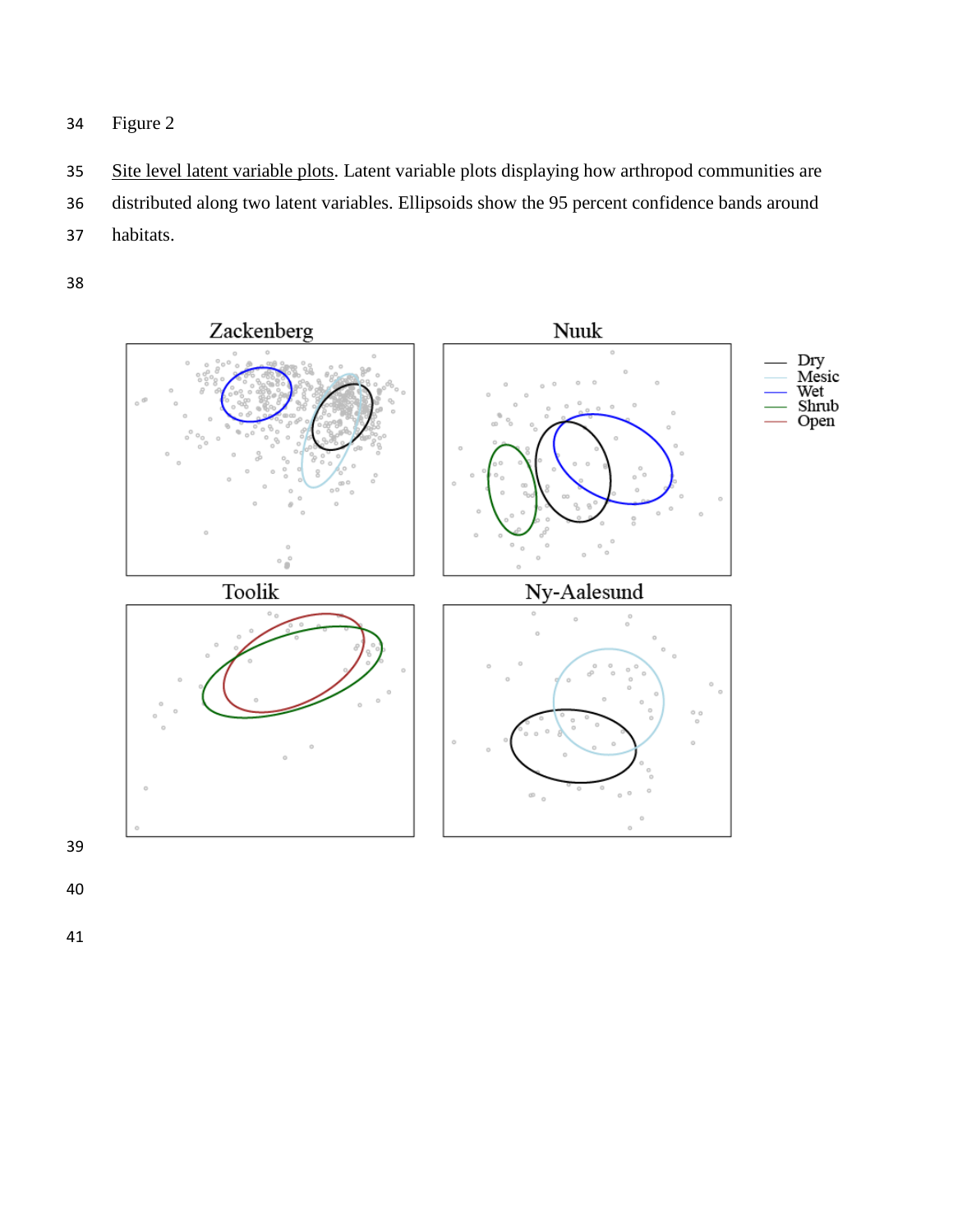- Figure 2
- 35 Site level latent variable plots. Latent variable plots displaying how arthropod communities are distributed along two latent variables. Ellipsoids show the 95 percent confidence bands around habitats.

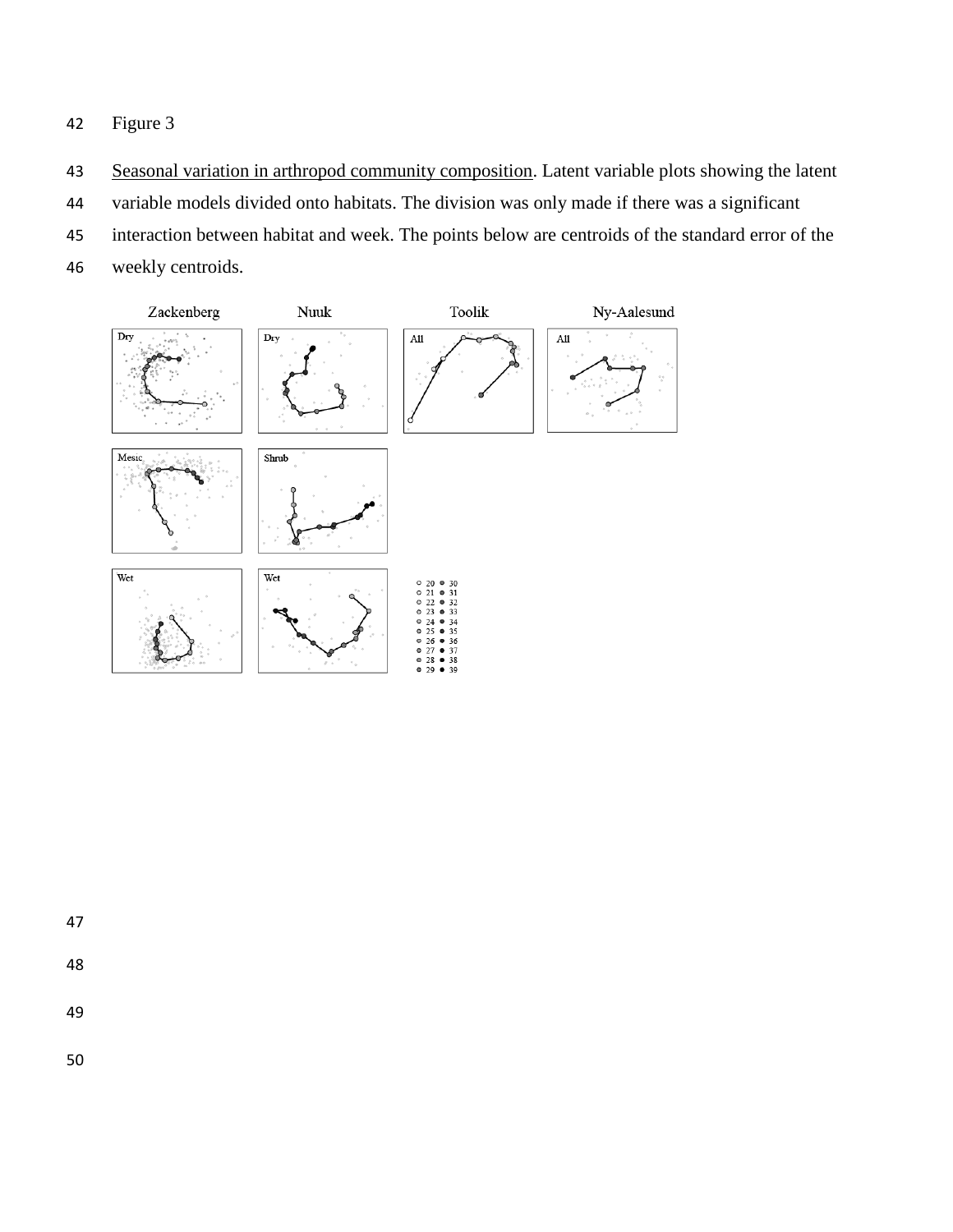- 43 Seasonal variation in arthropod community composition. Latent variable plots showing the latent
- variable models divided onto habitats. The division was only made if there was a significant
- interaction between habitat and week. The points below are centroids of the standard error of the
- weekly centroids.



- 
- 
-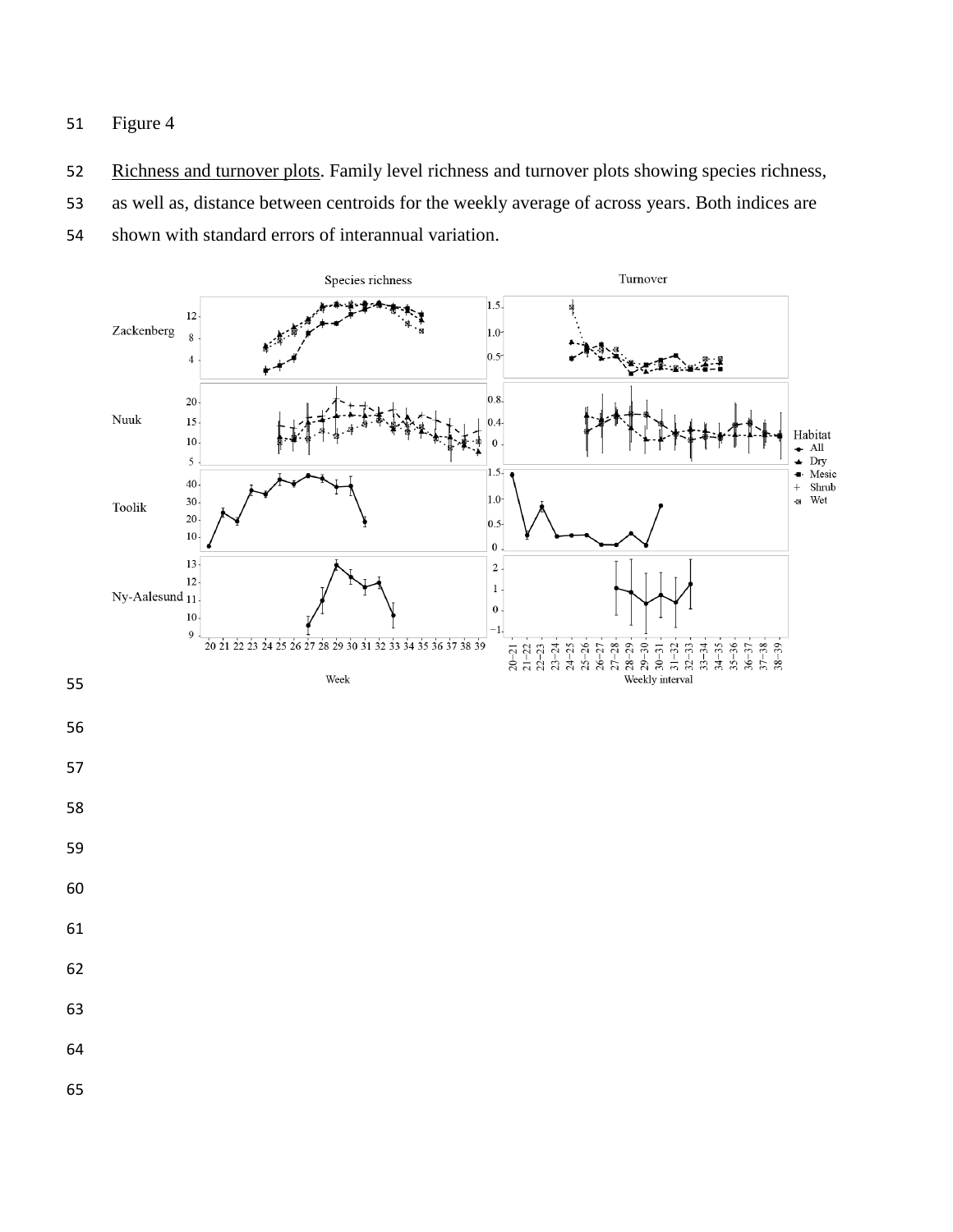52 Richness and turnover plots. Family level richness and turnover plots showing species richness,

as well as, distance between centroids for the weekly average of across years. Both indices are

shown with standard errors of interannual variation.

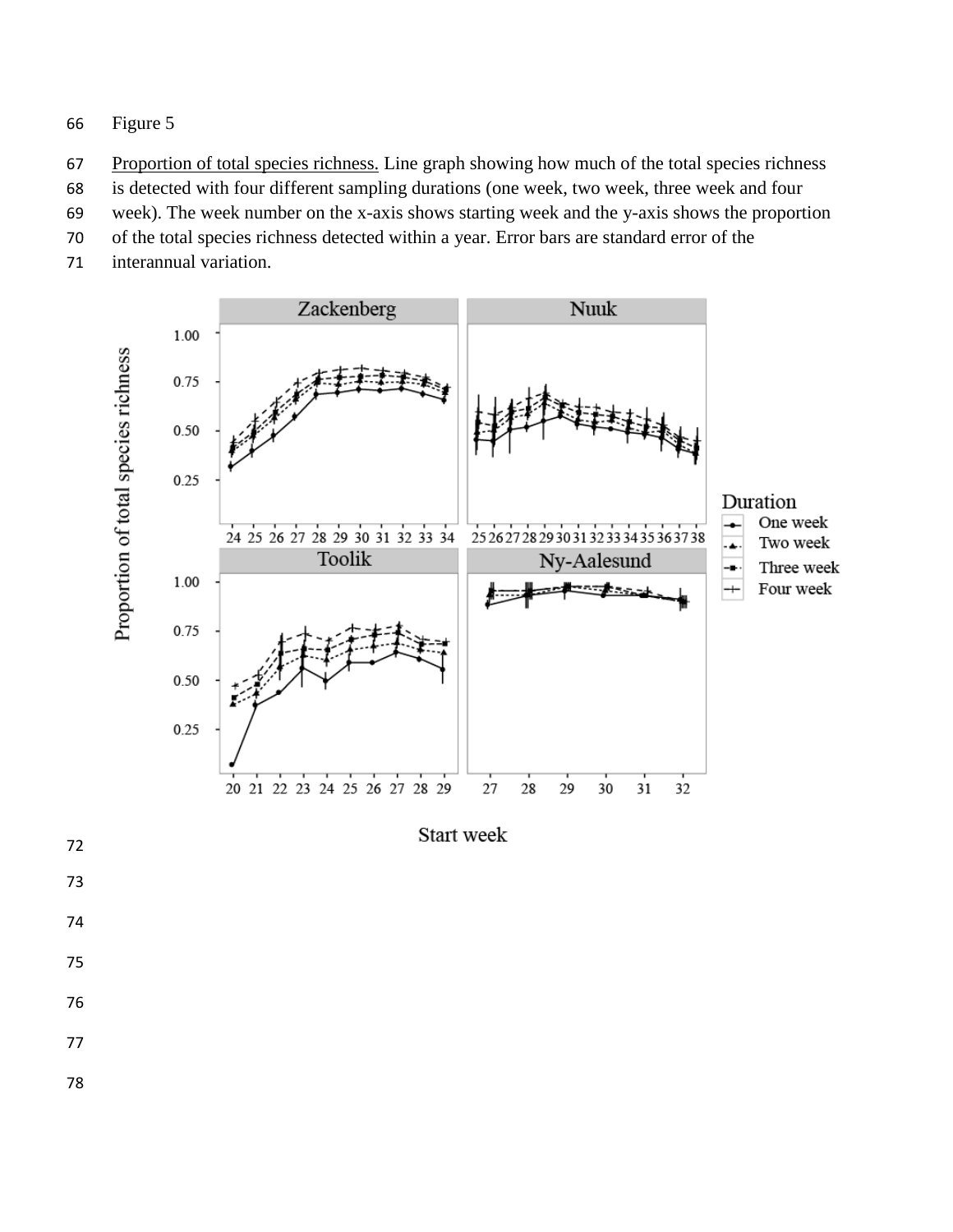- Figure 5
- Proportion of total species richness. Line graph showing how much of the total species richness
- is detected with four different sampling durations (one week, two week, three week and four
- week). The week number on the x-axis shows starting week and the y-axis shows the proportion
- of the total species richness detected within a year. Error bars are standard error of the
- interannual variation.



Start week

- 
- 
- 
- 
- 
- 
-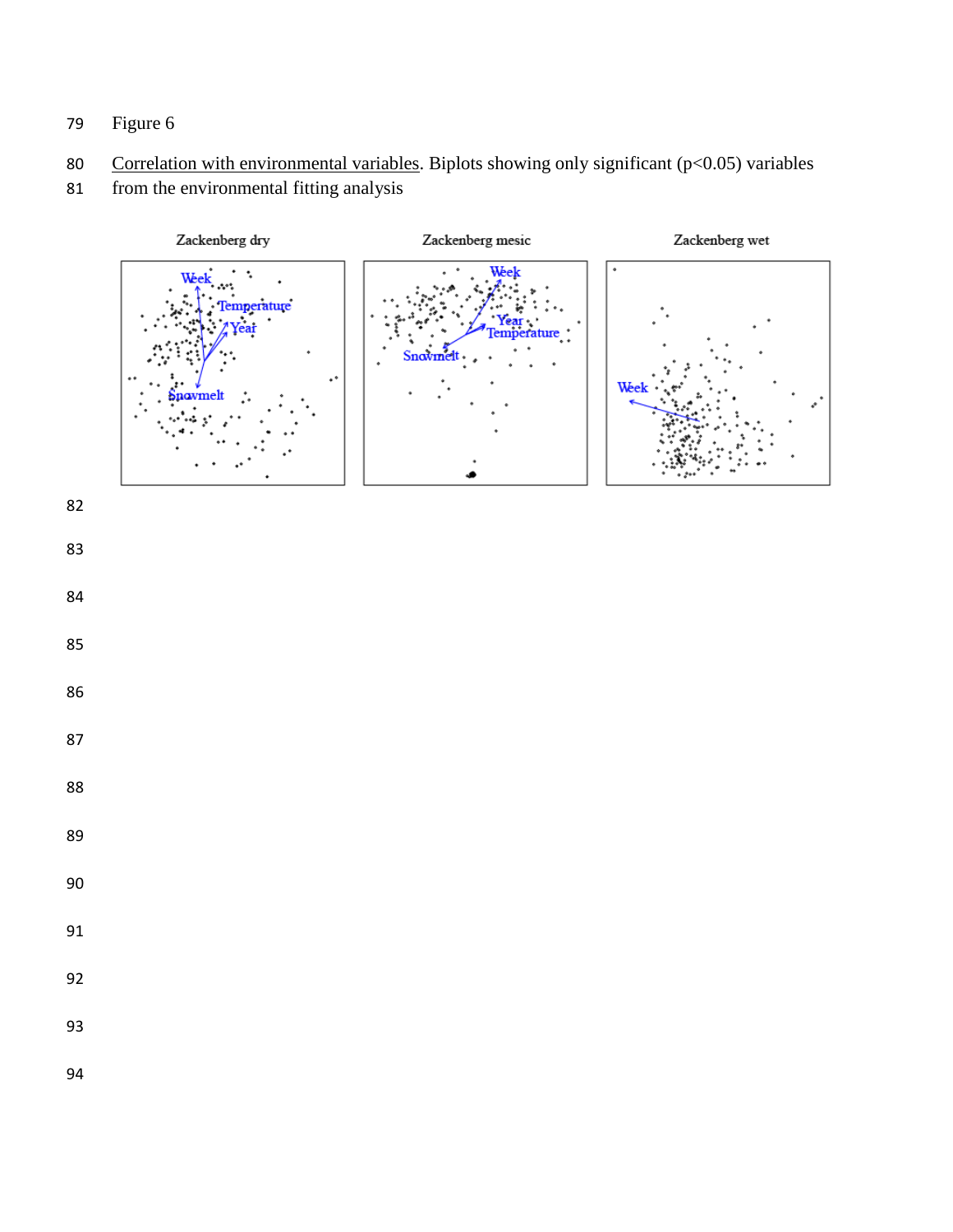- Figure 6
- 80 Correlation with environmental variables. Biplots showing only significant (p<0.05) variables
- from the environmental fitting analysis

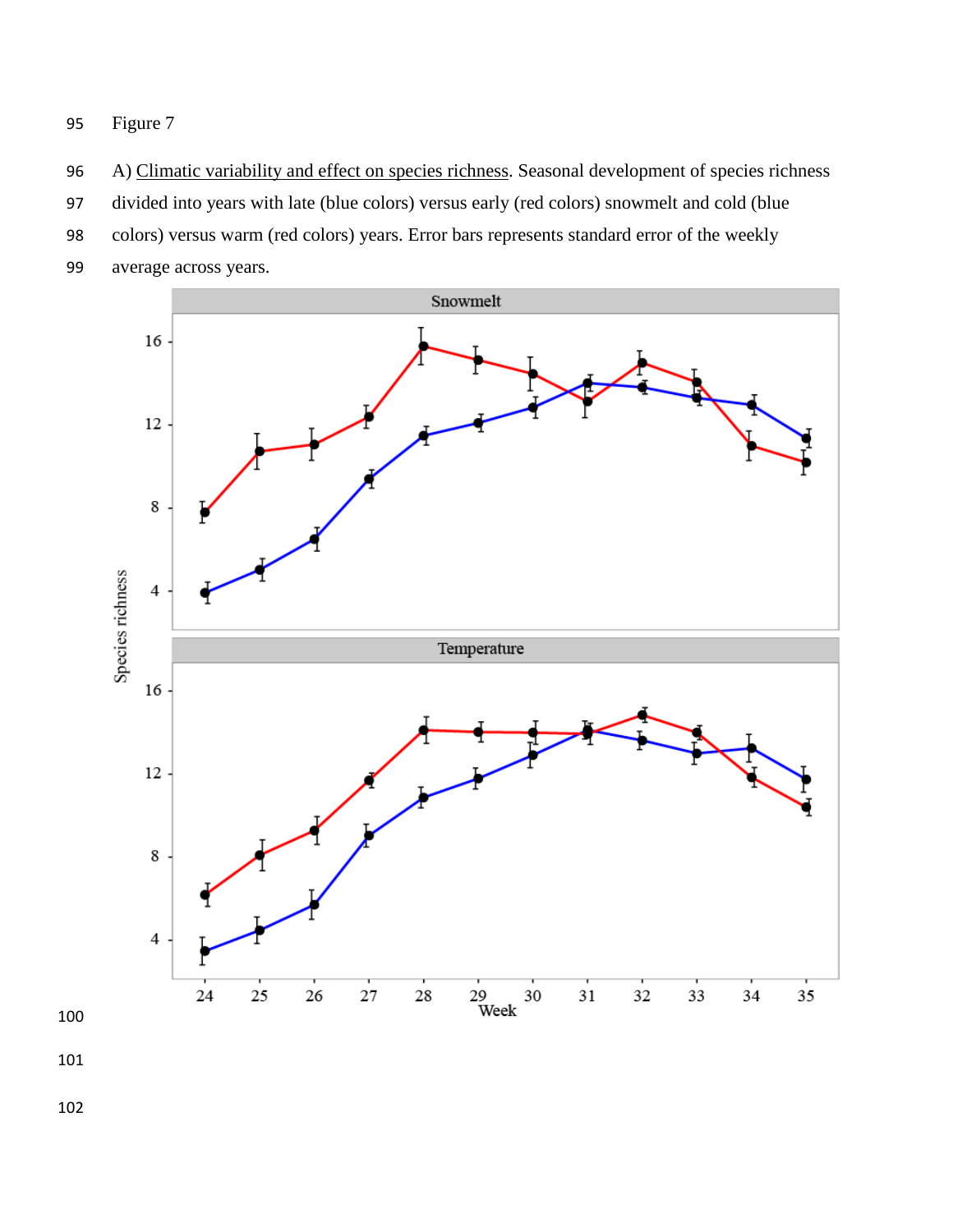- 96 A) Climatic variability and effect on species richness. Seasonal development of species richness
- divided into years with late (blue colors) versus early (red colors) snowmelt and cold (blue
- colors) versus warm (red colors) years. Error bars represents standard error of the weekly
- average across years.

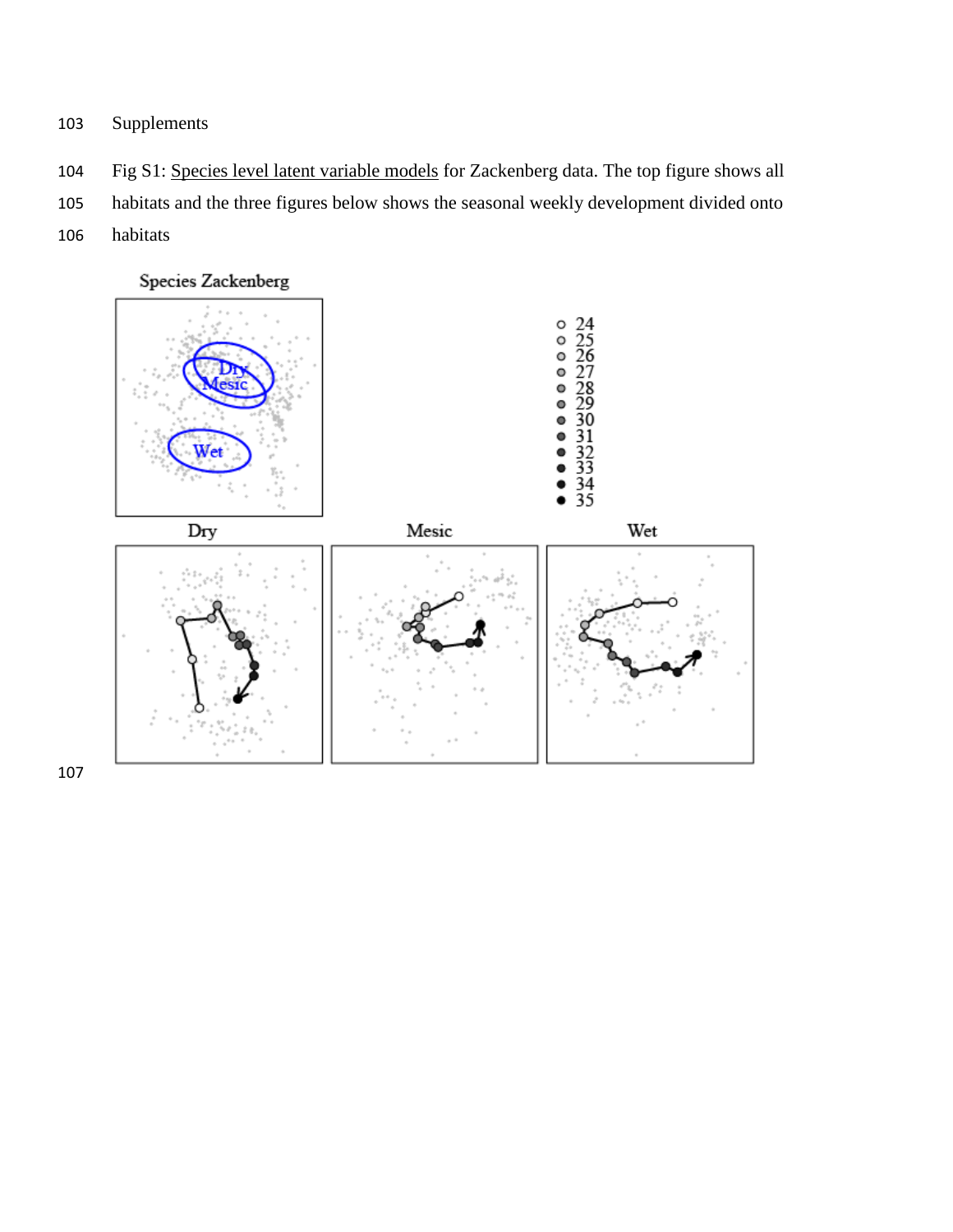- Supplements
- Fig S1: Species level latent variable models for Zackenberg data. The top figure shows all
- habitats and the three figures below shows the seasonal weekly development divided onto
- habitats

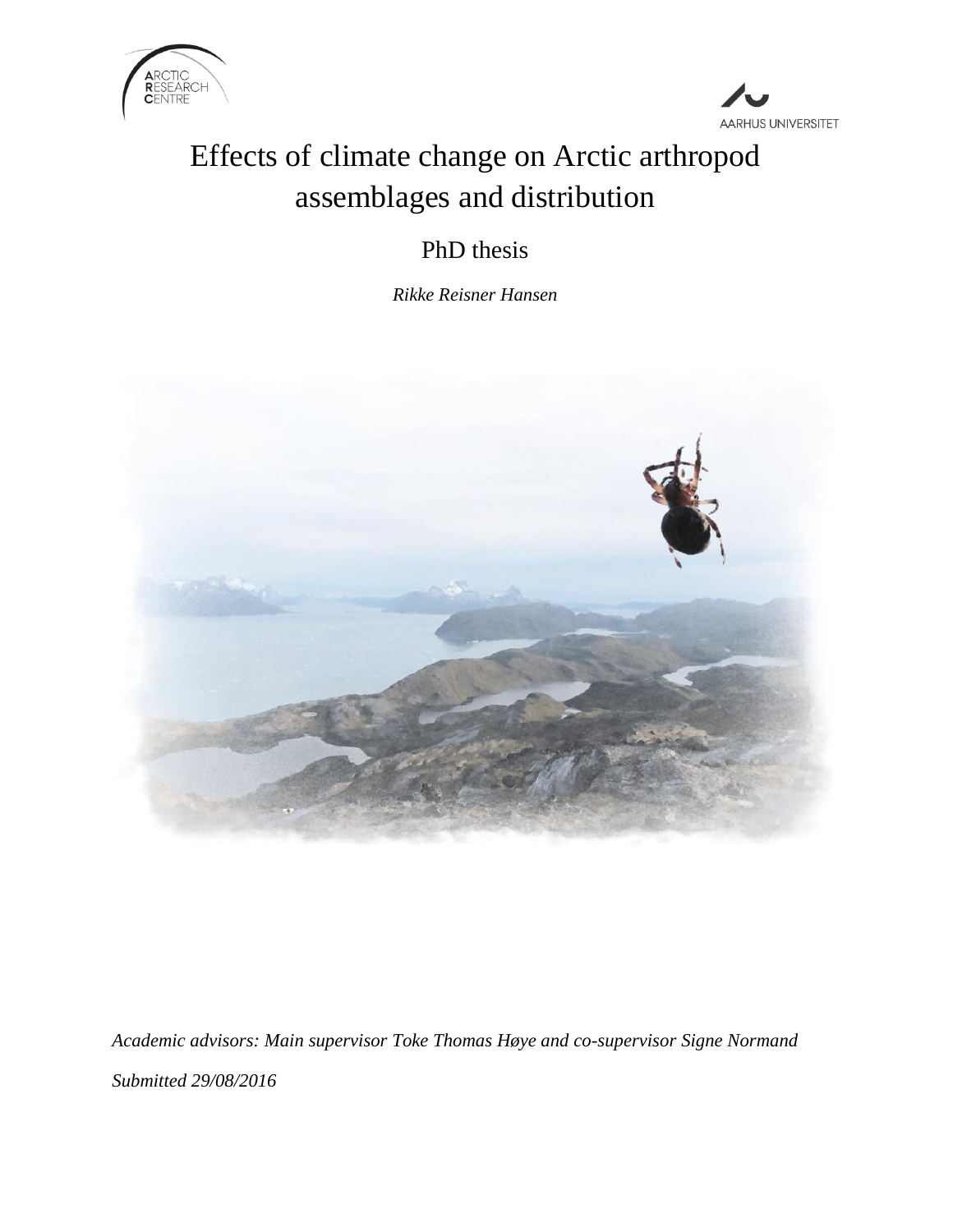



## Effects of climate change on Arctic arthropod assemblages and distribution

## PhD thesis

*Rikke Reisner Hansen*



*Academic advisors: Main supervisor Toke Thomas Høye and co-supervisor Signe Normand Submitted 29/08/2016*